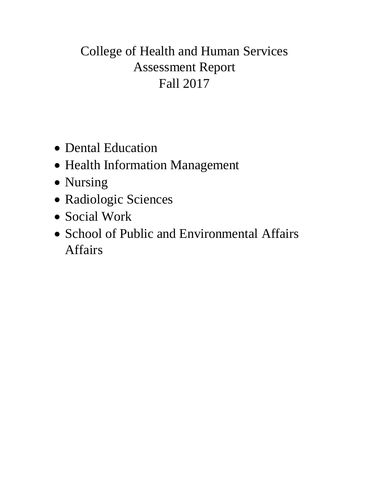# College of Health and Human Services Assessment Report Fall 2017

- Dental Education
- Health Information Management
- Nursing
- Radiologic Sciences
- Social Work
- School of Public and Environmental Affairs Affairs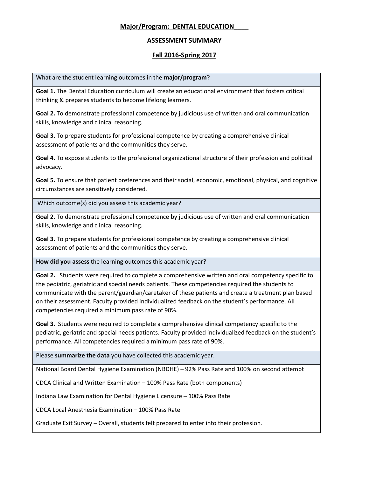# **Major/Program: DENTAL EDUCATION**\_\_\_\_

## **ASSESSMENT SUMMARY**

# **Fall 2016-Spring 2017**

What are the student learning outcomes in the **major/program**?

**Goal 1.** The Dental Education curriculum will create an educational environment that fosters critical thinking & prepares students to become lifelong learners.

**Goal 2.** To demonstrate professional competence by judicious use of written and oral communication skills, knowledge and clinical reasoning.

**Goal 3.** To prepare students for professional competence by creating a comprehensive clinical assessment of patients and the communities they serve.

**Goal 4.** To expose students to the professional organizational structure of their profession and political advocacy.

**Goal 5.** To ensure that patient preferences and their social, economic, emotional, physical, and cognitive circumstances are sensitively considered.

Which outcome(s) did you assess this academic year?

**Goal 2.** To demonstrate professional competence by judicious use of written and oral communication skills, knowledge and clinical reasoning.

**Goal 3.** To prepare students for professional competence by creating a comprehensive clinical assessment of patients and the communities they serve.

**How did you assess** the learning outcomes this academic year?

**Goal 2.** Students were required to complete a comprehensive written and oral competency specific to the pediatric, geriatric and special needs patients. These competencies required the students to communicate with the parent/guardian/caretaker of these patients and create a treatment plan based on their assessment. Faculty provided individualized feedback on the student's performance. All competencies required a minimum pass rate of 90%.

**Goal 3.** Students were required to complete a comprehensive clinical competency specific to the pediatric, geriatric and special needs patients. Faculty provided individualized feedback on the student's performance. All competencies required a minimum pass rate of 90%.

Please **summarize the data** you have collected this academic year.

National Board Dental Hygiene Examination (NBDHE) – 92% Pass Rate and 100% on second attempt

CDCA Clinical and Written Examination – 100% Pass Rate (both components)

Indiana Law Examination for Dental Hygiene Licensure – 100% Pass Rate

CDCA Local Anesthesia Examination – 100% Pass Rate

Graduate Exit Survey – Overall, students felt prepared to enter into their profession.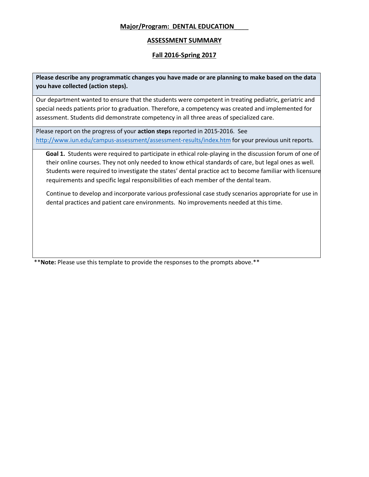# **Major/Program: DENTAL EDUCATION**\_\_\_\_

## **ASSESSMENT SUMMARY**

## **Fall 2016-Spring 2017**

**Please describe any programmatic changes you have made or are planning to make based on the data you have collected (action steps).** 

Our department wanted to ensure that the students were competent in treating pediatric, geriatric and special needs patients prior to graduation. Therefore, a competency was created and implemented for assessment. Students did demonstrate competency in all three areas of specialized care.

Please report on the progress of your **action steps** reported in 2015-2016. See <http://www.iun.edu/campus-assessment/assessment-results/index.htm> for your previous unit reports.

**Goal 1.** Students were required to participate in ethical role-playing in the discussion forum of one of their online courses. They not only needed to know ethical standards of care, but legal ones as well. Students were required to investigate the states' dental practice act to become familiar with licensure requirements and specific legal responsibilities of each member of the dental team.

Continue to develop and incorporate various professional case study scenarios appropriate for use in dental practices and patient care environments. No improvements needed at this time.

\*\***Note:** Please use this template to provide the responses to the prompts above.\*\*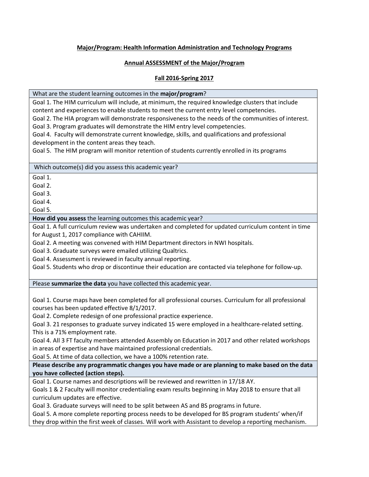# **Major/Program: Health Information Administration and Technology Programs**

# **Annual ASSESSMENT of the Major/Program**

## **Fall 2016-Spring 2017**

#### What are the student learning outcomes in the **major/program**?

Goal 1. The HIM curriculum will include, at minimum, the required knowledge clusters that include content and experiences to enable students to meet the current entry level competencies.

Goal 2. The HIA program will demonstrate responsiveness to the needs of the communities of interest.

Goal 3. Program graduates will demonstrate the HIM entry level competencies.

Goal 4. Faculty will demonstrate current knowledge, skills, and qualifications and professional development in the content areas they teach.

Goal 5. The HIM program will monitor retention of students currently enrolled in its programs

#### Which outcome(s) did you assess this academic year?

Goal 1.

Goal 2.

Goal 3.

Goal 4.

Goal 5.

**How did you assess** the learning outcomes this academic year?

Goal 1. A full curriculum review was undertaken and completed for updated curriculum content in time for August 1, 2017 compliance with CAHIIM.

Goal 2. A meeting was convened with HIM Department directors in NWI hospitals.

Goal 3. Graduate surveys were emailed utilizing Qualtrics.

Goal 4. Assessment is reviewed in faculty annual reporting.

Goal 5. Students who drop or discontinue their education are contacted via telephone for follow-up.

Please **summarize the data** you have collected this academic year.

Goal 1. Course maps have been completed for all professional courses. Curriculum for all professional courses has been updated effective 8/1/2017.

Goal 2. Complete redesign of one professional practice experience.

Goal 3. 21 responses to graduate survey indicated 15 were employed in a healthcare-related setting. This is a 71% employment rate.

Goal 4. All 3 FT faculty members attended Assembly on Education in 2017 and other related workshops in areas of expertise and have maintained professional credentials.

Goal 5. At time of data collection, we have a 100% retention rate.

**Please describe any programmatic changes you have made or are planning to make based on the data you have collected (action steps).** 

Goal 1. Course names and descriptions will be reviewed and rewritten in 17/18 AY.

Goals 1 & 2 Faculty will monitor credentialing exam results beginning in May 2018 to ensure that all curriculum updates are effective.

Goal 3. Graduate surveys will need to be split between AS and BS programs in future.

Goal 5. A more complete reporting process needs to be developed for BS program students' when/if they drop within the first week of classes. Will work with Assistant to develop a reporting mechanism.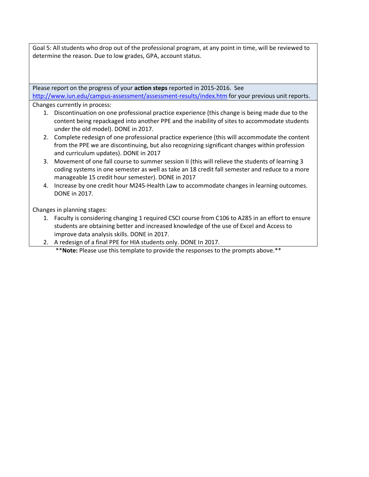Goal 5: All students who drop out of the professional program, at any point in time, will be reviewed to determine the reason. Due to low grades, GPA, account status.

Please report on the progress of your **action steps** reported in 2015-2016. See <http://www.iun.edu/campus-assessment/assessment-results/index.htm> for your previous unit reports.

Changes currently in process:

- 1. Discontinuation on one professional practice experience (this change is being made due to the content being repackaged into another PPE and the inability of sites to accommodate students under the old model). DONE in 2017.
- 2. Complete redesign of one professional practice experience (this will accommodate the content from the PPE we are discontinuing, but also recognizing significant changes within profession and curriculum updates). DONE in 2017
- 3. Movement of one fall course to summer session II (this will relieve the students of learning 3 coding systems in one semester as well as take an 18 credit fall semester and reduce to a more manageable 15 credit hour semester). DONE in 2017
- 4. Increase by one credit hour M245-Health Law to accommodate changes in learning outcomes. DONE in 2017.

Changes in planning stages:

- 1. Faculty is considering changing 1 required CSCI course from C106 to A285 in an effort to ensure students are obtaining better and increased knowledge of the use of Excel and Access to improve data analysis skills. DONE in 2017.
- 2. A redesign of a final PPE for HIA students only. DONE In 2017.

\*\***Note:** Please use this template to provide the responses to the prompts above.\*\*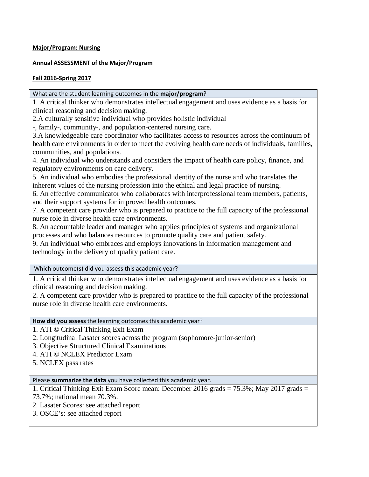## **Major/Program: Nursing**

## **Annual ASSESSMENT of the Major/Program**

## **Fall 2016-Spring 2017**

#### What are the student learning outcomes in the **major/program**?

1. A critical thinker who demonstrates intellectual engagement and uses evidence as a basis for clinical reasoning and decision making.

2.A culturally sensitive individual who provides holistic individual

-, family-, community-, and population-centered nursing care.

3.A knowledgeable care coordinator who facilitates access to resources across the continuum of health care environments in order to meet the evolving health care needs of individuals, families, communities, and populations.

4. An individual who understands and considers the impact of health care policy, finance, and regulatory environments on care delivery.

5. An individual who embodies the professional identity of the nurse and who translates the inherent values of the nursing profession into the ethical and legal practice of nursing.

6. An effective communicator who collaborates with interprofessional team members, patients, and their support systems for improved health outcomes.

7. A competent care provider who is prepared to practice to the full capacity of the professional nurse role in diverse health care environments.

8. An accountable leader and manager who applies principles of systems and organizational processes and who balances resources to promote quality care and patient safety.

9. An individual who embraces and employs innovations in information management and technology in the delivery of quality patient care.

Which outcome(s) did you assess this academic year?

1. A critical thinker who demonstrates intellectual engagement and uses evidence as a basis for clinical reasoning and decision making.

2. A competent care provider who is prepared to practice to the full capacity of the professional nurse role in diverse health care environments.

#### **How did you assess** the learning outcomes this academic year?

1. ATI © Critical Thinking Exit Exam

- 2. Longitudinal Lasater scores across the program (sophomore-junior-senior)
- 3. Objective Structured Clinical Examinations

4. ATI © NCLEX Predictor Exam

5. NCLEX pass rates

Please **summarize the data** you have collected this academic year.

1. Critical Thinking Exit Exam Score mean: December 2016 grads = 75.3%; May 2017 grads =

73.7%; national mean 70.3%.

2. Lasater Scores: see attached report

3. OSCE's: see attached report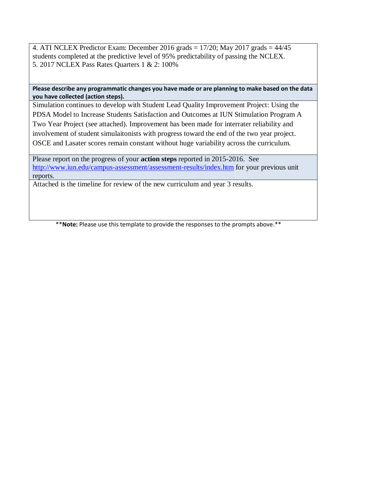4. ATI NCLEX Predictor Exam: December 2016 grads  $= 17/20$ ; May 2017 grads  $= 44/45$ students completed at the predictive level of 95% predictability of passing the NCLEX. 5. 2017 NCLEX Pass Rates Quarters 1 & 2: 100%

## **Please describe any programmatic changes you have made or are planning to make based on the data you have collected (action steps).**

Simulation continues to develop with Student Lead Quality Improvement Project: Using the PDSA Model to Increase Students Satisfaction and Outcomes at IUN Stimulation Program A Two Year Project (see attached). Improvement has been made for interrater reliability and involvement of student simulaitonists with progress toward the end of the two year project. OSCE and Lasater scores remain constant without huge variability across the curriculum.

Please report on the progress of your **action steps** reported in 2015-2016. See <http://www.iun.edu/campus-assessment/assessment-results/index.htm> for your previous unit reports.

Attached is the timeline for review of the new curriculum and year 3 results.

\*\***Note:** Please use this template to provide the responses to the prompts above.\*\*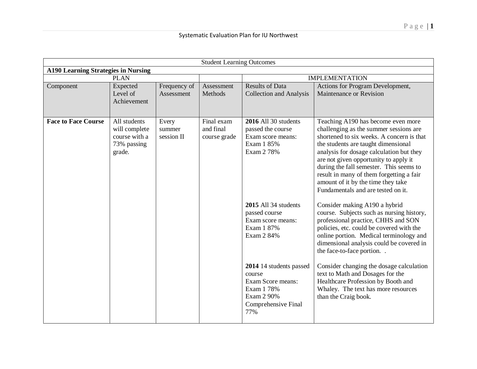| <b>Student Learning Outcomes</b> |                                                                         |                               |                                         |                                                                                                                  |                                                                                                                                                                                                                                                                                                                                                                                                                          |  |  |  |  |
|----------------------------------|-------------------------------------------------------------------------|-------------------------------|-----------------------------------------|------------------------------------------------------------------------------------------------------------------|--------------------------------------------------------------------------------------------------------------------------------------------------------------------------------------------------------------------------------------------------------------------------------------------------------------------------------------------------------------------------------------------------------------------------|--|--|--|--|
|                                  | <b>A190 Learning Strategies in Nursing</b>                              |                               |                                         |                                                                                                                  |                                                                                                                                                                                                                                                                                                                                                                                                                          |  |  |  |  |
|                                  | <b>PLAN</b>                                                             |                               |                                         |                                                                                                                  | <b>IMPLEMENTATION</b>                                                                                                                                                                                                                                                                                                                                                                                                    |  |  |  |  |
| Component                        | Expected<br>Level of<br>Achievement                                     | Frequency of<br>Assessment    | Assessment<br>Methods                   | <b>Results of Data</b><br><b>Collection and Analysis</b>                                                         | Actions for Program Development,<br>Maintenance or Revision                                                                                                                                                                                                                                                                                                                                                              |  |  |  |  |
| <b>Face to Face Course</b>       | All students<br>will complete<br>course with a<br>73% passing<br>grade. | Every<br>summer<br>session II | Final exam<br>and final<br>course grade | 2016 All 30 students<br>passed the course<br>Exam score means:<br>Exam 1 85%<br>Exam 2 78%                       | Teaching A190 has become even more<br>challenging as the summer sessions are<br>shortened to six weeks. A concern is that<br>the students are taught dimensional<br>analysis for dosage calculation but they<br>are not given opportunity to apply it<br>during the fall semester. This seems to<br>result in many of them forgetting a fair<br>amount of it by the time they take<br>Fundamentals and are tested on it. |  |  |  |  |
|                                  |                                                                         |                               |                                         | 2015 All 34 students<br>passed course<br>Exam score means:<br>Exam 1 87%<br>Exam 2 84%                           | Consider making A190 a hybrid<br>course. Subjects such as nursing history,<br>professional practice, CHHS and SON<br>policies, etc. could be covered with the<br>online portion. Medical terminology and<br>dimensional analysis could be covered in<br>the face-to-face portion                                                                                                                                         |  |  |  |  |
|                                  |                                                                         |                               |                                         | 2014 14 students passed<br>course<br>Exam Score means:<br>Exam 1 78%<br>Exam 2 90%<br>Comprehensive Final<br>77% | Consider changing the dosage calculation<br>text to Math and Dosages for the<br>Healthcare Profession by Booth and<br>Whaley. The text has more resources<br>than the Craig book.                                                                                                                                                                                                                                        |  |  |  |  |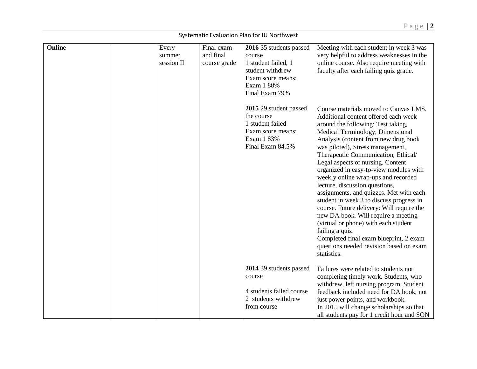|        |                               |                                         | <b>Systematic Evaluation mannon to Northw</b>                                                                                     |                                                                                                                                                                                                                                                                                                                                                                                                                                                                                                                                                                                                                                                                                                                                                                              |
|--------|-------------------------------|-----------------------------------------|-----------------------------------------------------------------------------------------------------------------------------------|------------------------------------------------------------------------------------------------------------------------------------------------------------------------------------------------------------------------------------------------------------------------------------------------------------------------------------------------------------------------------------------------------------------------------------------------------------------------------------------------------------------------------------------------------------------------------------------------------------------------------------------------------------------------------------------------------------------------------------------------------------------------------|
| Online | Every<br>summer<br>session II | Final exam<br>and final<br>course grade | 2016 35 students passed<br>course<br>1 student failed, 1<br>student withdrew<br>Exam score means:<br>Exam 1 88%<br>Final Exam 79% | Meeting with each student in week 3 was<br>very helpful to address weaknesses in the<br>online course. Also require meeting with<br>faculty after each failing quiz grade.                                                                                                                                                                                                                                                                                                                                                                                                                                                                                                                                                                                                   |
|        |                               |                                         | 2015 29 student passed<br>the course<br>1 student failed<br>Exam score means:<br>Exam 1 83%<br>Final Exam 84.5%                   | Course materials moved to Canvas LMS.<br>Additional content offered each week<br>around the following: Test taking,<br>Medical Terminology, Dimensional<br>Analysis (content from new drug book<br>was piloted), Stress management,<br>Therapeutic Communication, Ethical/<br>Legal aspects of nursing. Content<br>organized in easy-to-view modules with<br>weekly online wrap-ups and recorded<br>lecture, discussion questions,<br>assignments, and quizzes. Met with each<br>student in week 3 to discuss progress in<br>course. Future delivery: Will require the<br>new DA book. Will require a meeting<br>(virtual or phone) with each student<br>failing a quiz.<br>Completed final exam blueprint, 2 exam<br>questions needed revision based on exam<br>statistics. |
|        |                               |                                         | 2014 39 students passed<br>course<br>4 students failed course<br>2 students withdrew<br>from course                               | Failures were related to students not<br>completing timely work. Students, who<br>withdrew, left nursing program. Student<br>feedback included need for DA book, not<br>just power points, and workbook.<br>In 2015 will change scholarships so that<br>all students pay for 1 credit hour and SON                                                                                                                                                                                                                                                                                                                                                                                                                                                                           |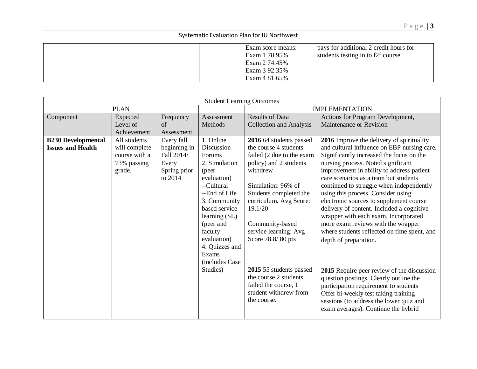|  | Exam score means:<br>Exam 1 78.95%<br>Exam 2 74.45%<br>Exam 3 92.35%<br>Exam 4 81.65% | pays for additional 2 credit hours for<br>students testing in to f2f course. |
|--|---------------------------------------------------------------------------------------|------------------------------------------------------------------------------|
|--|---------------------------------------------------------------------------------------|------------------------------------------------------------------------------|

|                           | <b>Student Learning Outcomes</b> |              |                         |                                |                                             |  |  |  |
|---------------------------|----------------------------------|--------------|-------------------------|--------------------------------|---------------------------------------------|--|--|--|
|                           | <b>PLAN</b>                      |              |                         | <b>IMPLEMENTATION</b>          |                                             |  |  |  |
| Component                 | Expected                         | Frequency    | Assessment              | <b>Results of Data</b>         | Actions for Program Development,            |  |  |  |
|                           | Level of                         | of           | Methods                 | <b>Collection and Analysis</b> | Maintenance or Revision                     |  |  |  |
|                           | Achievement                      | Assessment   |                         |                                |                                             |  |  |  |
| <b>B230 Developmental</b> | All students                     | Every fall   | 1. Online               | 2016 64 students passed        | 2016 Improve the delivery of spirituality   |  |  |  |
| <b>Issues and Health</b>  | will complete                    | beginning in | Discussion              | the course 4 students          | and cultural influence on EBP nursing care. |  |  |  |
|                           | course with a                    | Fall 2014/   | Forums                  | failed (2 due to the exam      | Significantly increased the focus on the    |  |  |  |
|                           | 73% passing                      | Every        | 2. Simulation           | policy) and 2 students         | nursing process. Noted significant          |  |  |  |
|                           | grade.                           | Spring prior | (peer                   | withdrew                       | improvement in ability to address patient   |  |  |  |
|                           |                                  | to 2014      | evaluation)             |                                | care scenarios as a team but students       |  |  |  |
|                           |                                  |              | --Cultural              | Simulation: 96% of             | continued to struggle when independently    |  |  |  |
|                           |                                  |              | --End of Life           | Students completed the         | using this process. Consider using          |  |  |  |
|                           |                                  |              | 3. Community            | curriculum. Avg Score:         | electronic sources to supplement course     |  |  |  |
|                           |                                  |              | based service           | 19.1/20                        | delivery of content. Included a cognitive   |  |  |  |
|                           |                                  |              | learning (SL)           |                                | wrapper with each exam. Incorporated        |  |  |  |
|                           |                                  |              | (peer and               | Community-based                | more exam reviews with the wrapper          |  |  |  |
|                           |                                  |              | faculty                 | service learning: Avg          | where students reflected on time spent, and |  |  |  |
|                           |                                  |              | evaluation)             | Score 78.8/80 pts              | depth of preparation.                       |  |  |  |
|                           |                                  |              | 4. Quizzes and<br>Exams |                                |                                             |  |  |  |
|                           |                                  |              | (includes Case)         |                                |                                             |  |  |  |
|                           |                                  |              | Studies)                | 2015 55 students passed        |                                             |  |  |  |
|                           |                                  |              |                         | the course 2 students          | 2015 Require peer review of the discussion  |  |  |  |
|                           |                                  |              |                         | failed the course, 1           | question postings. Clearly outline the      |  |  |  |
|                           |                                  |              |                         | student withdrew from          | participation requirement to students       |  |  |  |
|                           |                                  |              |                         | the course.                    | Offer bi-weekly test taking training        |  |  |  |
|                           |                                  |              |                         |                                | sessions (to address the lower quiz and     |  |  |  |
|                           |                                  |              |                         |                                | exam averages). Continue the hybrid         |  |  |  |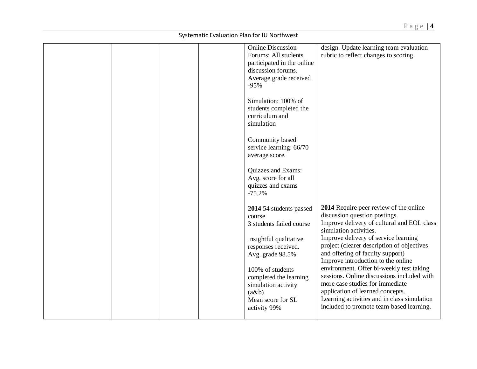|  |  | <b>Online Discussion</b>   | design. Update learning team evaluation     |
|--|--|----------------------------|---------------------------------------------|
|  |  | Forums; All students       | rubric to reflect changes to scoring        |
|  |  | participated in the online |                                             |
|  |  | discussion forums.         |                                             |
|  |  | Average grade received     |                                             |
|  |  | $-95%$                     |                                             |
|  |  |                            |                                             |
|  |  | Simulation: 100% of        |                                             |
|  |  | students completed the     |                                             |
|  |  | curriculum and             |                                             |
|  |  | simulation                 |                                             |
|  |  |                            |                                             |
|  |  | Community based            |                                             |
|  |  | service learning: 66/70    |                                             |
|  |  |                            |                                             |
|  |  | average score.             |                                             |
|  |  | Quizzes and Exams:         |                                             |
|  |  | Avg. score for all         |                                             |
|  |  | quizzes and exams          |                                             |
|  |  | $-75.2%$                   |                                             |
|  |  |                            |                                             |
|  |  | 2014 54 students passed    | 2014 Require peer review of the online      |
|  |  | course                     | discussion question postings.               |
|  |  | 3 students failed course   | Improve delivery of cultural and EOL class  |
|  |  |                            | simulation activities.                      |
|  |  | Insightful qualitative     | Improve delivery of service learning        |
|  |  | responses received.        | project (clearer description of objectives  |
|  |  | Avg. grade 98.5%           | and offering of faculty support)            |
|  |  |                            | Improve introduction to the online          |
|  |  | 100% of students           | environment. Offer bi-weekly test taking    |
|  |  | completed the learning     | sessions. Online discussions included with  |
|  |  | simulation activity        | more case studies for immediate             |
|  |  | (a&b)                      | application of learned concepts.            |
|  |  | Mean score for SL          | Learning activities and in class simulation |
|  |  | activity 99%               | included to promote team-based learning.    |
|  |  |                            |                                             |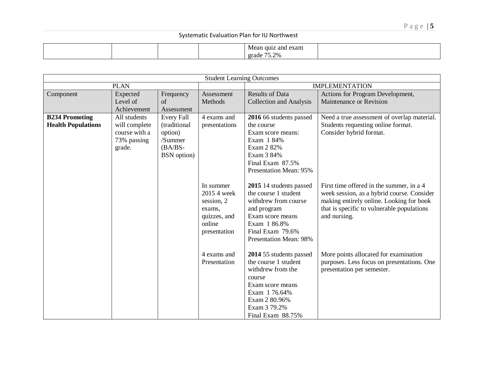|  |  | Mean<br>1 exam<br>- GU12<br>and |  |
|--|--|---------------------------------|--|
|  |  | 75 2%<br>erade<br>7.J.Z         |  |

| <b>Student Learning Outcomes</b>                   |                                                                         |                                                                                     |                                                                                            |                                                                                                                                                                                 |                                                                                                                                                                                                  |  |  |
|----------------------------------------------------|-------------------------------------------------------------------------|-------------------------------------------------------------------------------------|--------------------------------------------------------------------------------------------|---------------------------------------------------------------------------------------------------------------------------------------------------------------------------------|--------------------------------------------------------------------------------------------------------------------------------------------------------------------------------------------------|--|--|
|                                                    | <b>PLAN</b>                                                             |                                                                                     |                                                                                            |                                                                                                                                                                                 | <b>IMPLEMENTATION</b>                                                                                                                                                                            |  |  |
| Component                                          | Expected<br>Level of<br>Achievement                                     | Frequency<br>of<br>Assessment                                                       | Assessment<br>Methods                                                                      | <b>Results of Data</b><br><b>Collection and Analysis</b>                                                                                                                        | Actions for Program Development,<br>Maintenance or Revision                                                                                                                                      |  |  |
| <b>B234 Promoting</b><br><b>Health Populations</b> | All students<br>will complete<br>course with a<br>73% passing<br>grade. | Every Fall<br>(traditional<br>option)<br>/Summer<br>$(BA/BS-$<br><b>BSN</b> option) | 4 exams and<br>presentations                                                               | 2016 66 students passed<br>the course<br>Exam score means:<br>Exam 1 84%<br>Exam 2 82%<br>Exam 3 84%<br>Final Exam 87.5%<br><b>Presentation Mean: 95%</b>                       | Need a true assessment of overlap material.<br>Students requesting online format.<br>Consider hybrid format.                                                                                     |  |  |
|                                                    |                                                                         |                                                                                     | In summer<br>2015 4 week<br>session, 2<br>exams,<br>quizzes, and<br>online<br>presentation | 2015 14 students passed<br>the course 1 student<br>withdrew from course<br>and program<br>Exam score means<br>Exam 1 86.8%<br>Final Exam 79.6%<br><b>Presentation Mean: 98%</b> | First time offered in the summer, in a 4<br>week session, as a hybrid course. Consider<br>making entirely online. Looking for book<br>that is specific to vulnerable populations<br>and nursing. |  |  |
|                                                    |                                                                         |                                                                                     | 4 exams and<br>Presentation                                                                | 2014 55 students passed<br>the course 1 student<br>withdrew from the<br>course<br>Exam score means<br>Exam 1 76.64%<br>Exam 2 80.96%<br>Exam 3 79.2%<br>Final Exam 88.75%       | More points allocated for examination<br>purposes. Less focus on presentations. One<br>presentation per semester.                                                                                |  |  |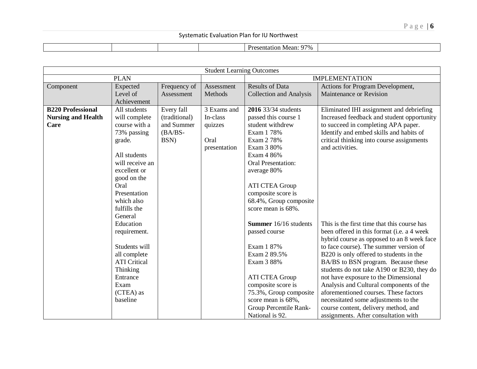|  |  | $\sim$<br>97%<br>1.4200<br>Mean:<br>501107<br>лентанон |  |
|--|--|--------------------------------------------------------|--|

|                           |                     |               | <b>Student Learning Outcomes</b> |                                |                                             |  |
|---------------------------|---------------------|---------------|----------------------------------|--------------------------------|---------------------------------------------|--|
|                           | <b>PLAN</b>         |               |                                  |                                | <b>IMPLEMENTATION</b>                       |  |
| Component                 | Expected            | Frequency of  | Assessment                       | <b>Results of Data</b>         | Actions for Program Development,            |  |
|                           | Level of            | Assessment    | Methods                          | <b>Collection and Analysis</b> | Maintenance or Revision                     |  |
|                           | Achievement         |               |                                  |                                |                                             |  |
| <b>B220 Professional</b>  | All students        | Every fall    | 3 Exams and                      | 2016 33/34 students            | Eliminated IHI assignment and debriefing    |  |
| <b>Nursing and Health</b> | will complete       | (traditional) | In-class                         | passed this course 1           | Increased feedback and student opportunity  |  |
| Care                      | course with a       | and Summer    | quizzes                          | student withdrew               | to succeed in completing APA paper.         |  |
|                           | 73% passing         | $(BA/BS-$     |                                  | Exam 1 78%                     | Identify and embed skills and habits of     |  |
|                           | grade.              | BSN)          | Oral                             | Exam 2 78%                     | critical thinking into course assignments   |  |
|                           |                     |               | presentation                     | Exam 3 80%                     | and activities.                             |  |
|                           | All students        |               |                                  | Exam 4 86%                     |                                             |  |
|                           | will receive an     |               |                                  | <b>Oral Presentation:</b>      |                                             |  |
|                           | excellent or        |               |                                  | average 80%                    |                                             |  |
|                           | good on the         |               |                                  |                                |                                             |  |
|                           | Oral                |               |                                  | <b>ATI CTEA Group</b>          |                                             |  |
|                           | Presentation        |               |                                  | composite score is             |                                             |  |
|                           | which also          |               |                                  | 68.4%, Group composite         |                                             |  |
|                           | fulfills the        |               |                                  | score mean is 68%.             |                                             |  |
|                           | General             |               |                                  |                                |                                             |  |
|                           | Education           |               |                                  | Summer 16/16 students          | This is the first time that this course has |  |
|                           | requirement.        |               |                                  | passed course                  | been offered in this format (i.e. a 4 week  |  |
|                           |                     |               |                                  |                                | hybrid course as opposed to an 8 week face  |  |
|                           | Students will       |               |                                  | Exam 1 87%                     | to face course). The summer version of      |  |
|                           | all complete        |               |                                  | Exam 2 89.5%                   | B220 is only offered to students in the     |  |
|                           | <b>ATI</b> Critical |               |                                  | Exam 3 88%                     | BA/BS to BSN program. Because these         |  |
|                           | Thinking            |               |                                  |                                | students do not take A190 or B230, they do  |  |
|                           | Entrance            |               |                                  | <b>ATI CTEA Group</b>          | not have exposure to the Dimensional        |  |
|                           | Exam                |               |                                  | composite score is             | Analysis and Cultural components of the     |  |
|                           | (CTEA) as           |               |                                  | 75.3%, Group composite         | aforementioned courses. These factors       |  |
|                           | baseline            |               |                                  | score mean is 68%,             | necessitated some adjustments to the        |  |
|                           |                     |               |                                  | Group Percentile Rank-         | course content, delivery method, and        |  |
|                           |                     |               |                                  | National is 92.                | assignments. After consultation with        |  |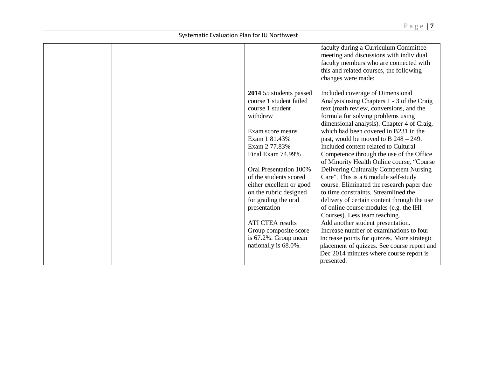|  |  |                               | faculty during a Curriculum Committee<br>meeting and discussions with individual |
|--|--|-------------------------------|----------------------------------------------------------------------------------|
|  |  |                               | faculty members who are connected with                                           |
|  |  |                               | this and related courses, the following                                          |
|  |  |                               | changes were made:                                                               |
|  |  | 2014 55 students passed       | Included coverage of Dimensional                                                 |
|  |  | course 1 student failed       | Analysis using Chapters 1 - 3 of the Craig                                       |
|  |  | course 1 student              | text (math review, conversions, and the                                          |
|  |  | withdrew                      | formula for solving problems using                                               |
|  |  |                               | dimensional analysis). Chapter 4 of Craig,                                       |
|  |  | Exam score means              | which had been covered in B231 in the                                            |
|  |  | Exam 1 81.43%                 | past, would be moved to $B$ 248 – 249.                                           |
|  |  | Exam 2 77.83%                 | Included content related to Cultural                                             |
|  |  | Final Exam 74.99%             | Competence through the use of the Office                                         |
|  |  |                               | of Minority Health Online course, "Course                                        |
|  |  | <b>Oral Presentation 100%</b> | Delivering Culturally Competent Nursing                                          |
|  |  | of the students scored        | Care". This is a 6 module self-study                                             |
|  |  | either excellent or good      | course. Eliminated the research paper due                                        |
|  |  | on the rubric designed        | to time constraints. Streamlined the                                             |
|  |  | for grading the oral          | delivery of certain content through the use                                      |
|  |  | presentation                  | of online course modules (e.g. the IHI                                           |
|  |  |                               | Courses). Less team teaching.                                                    |
|  |  | <b>ATI CTEA results</b>       | Add another student presentation.                                                |
|  |  | Group composite score         | Increase number of examinations to four                                          |
|  |  | is 67.2%. Group mean          | Increase points for quizzes. More strategic                                      |
|  |  | nationally is 68.0%.          | placement of quizzes. See course report and                                      |
|  |  |                               | Dec 2014 minutes where course report is                                          |
|  |  |                               | presented.                                                                       |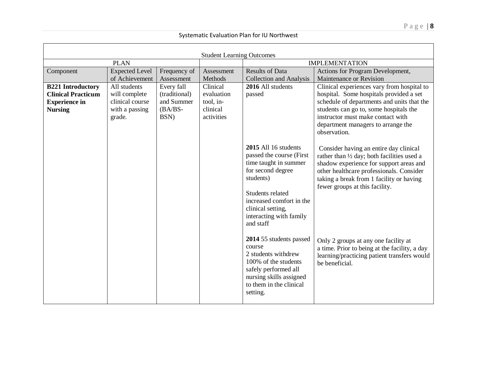| <b>Student Learning Outcomes</b>                                                                |                                                                              |                                                                |                                                               |                                                                                                                                                                                                                          |                                                                                                                                                                                                                                                                          |  |  |
|-------------------------------------------------------------------------------------------------|------------------------------------------------------------------------------|----------------------------------------------------------------|---------------------------------------------------------------|--------------------------------------------------------------------------------------------------------------------------------------------------------------------------------------------------------------------------|--------------------------------------------------------------------------------------------------------------------------------------------------------------------------------------------------------------------------------------------------------------------------|--|--|
|                                                                                                 | <b>PLAN</b>                                                                  |                                                                |                                                               |                                                                                                                                                                                                                          | <b>IMPLEMENTATION</b>                                                                                                                                                                                                                                                    |  |  |
| Component                                                                                       | <b>Expected Level</b><br>of Achievement                                      | Frequency of<br>Assessment                                     | Assessment<br>Methods                                         | <b>Results of Data</b><br><b>Collection and Analysis</b>                                                                                                                                                                 | Actions for Program Development,<br>Maintenance or Revision                                                                                                                                                                                                              |  |  |
| <b>B221 Introductory</b><br><b>Clinical Practicum</b><br><b>Experience in</b><br><b>Nursing</b> | All students<br>will complete<br>clinical course<br>with a passing<br>grade. | Every fall<br>(traditional)<br>and Summer<br>$(BA/BS-$<br>BSN) | Clinical<br>evaluation<br>tool, in-<br>clinical<br>activities | 2016 All students<br>passed                                                                                                                                                                                              | Clinical experiences vary from hospital to<br>hospital. Some hospitals provided a set<br>schedule of departments and units that the<br>students can go to, some hospitals the<br>instructor must make contact with<br>department managers to arrange the<br>observation. |  |  |
|                                                                                                 |                                                                              |                                                                |                                                               | 2015 All 16 students<br>passed the course (First<br>time taught in summer<br>for second degree<br>students)<br>Students related<br>increased comfort in the<br>clinical setting,<br>interacting with family<br>and staff | Consider having an entire day clinical<br>rather than 1/2 day; both facilities used a<br>shadow experience for support areas and<br>other healthcare professionals. Consider<br>taking a break from 1 facility or having<br>fewer groups at this facility.               |  |  |
|                                                                                                 |                                                                              |                                                                |                                                               | 2014 55 students passed<br>course<br>2 students withdrew<br>100% of the students<br>safely performed all<br>nursing skills assigned<br>to them in the clinical<br>setting.                                               | Only 2 groups at any one facility at<br>a time. Prior to being at the facility, a day<br>learning/practicing patient transfers would<br>be beneficial.                                                                                                                   |  |  |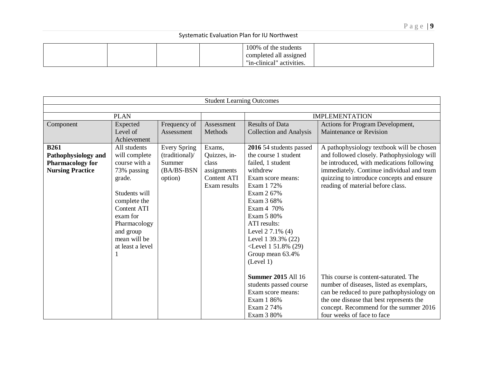|  | 100% of the students<br>completed all assigned |  |
|--|------------------------------------------------|--|
|  | " activities.<br>"in-clinical"                 |  |

|                         |                    |                     | <b>Student Learning Outcomes</b> |                                |                                            |  |
|-------------------------|--------------------|---------------------|----------------------------------|--------------------------------|--------------------------------------------|--|
|                         |                    |                     |                                  |                                |                                            |  |
|                         | <b>PLAN</b>        |                     |                                  |                                | <b>IMPLEMENTATION</b>                      |  |
| Component               | Expected           | Frequency of        | Assessment                       | <b>Results of Data</b>         | Actions for Program Development,           |  |
|                         | Level of           | Assessment          | Methods                          | <b>Collection and Analysis</b> | Maintenance or Revision                    |  |
|                         | Achievement        |                     |                                  |                                |                                            |  |
| <b>B261</b>             | All students       | <b>Every Spring</b> | Exams,                           | 2016 54 students passed        | A pathophysiology textbook will be chosen  |  |
| Pathophysiology and     | will complete      | (traditional)/      | Quizzes, in-                     | the course 1 student           | and followed closely. Pathophysiology will |  |
| <b>Pharmacology for</b> | course with a      | Summer              | class                            | failed, 1 student              | be introduced, with medications following  |  |
| <b>Nursing Practice</b> | 73% passing        | (BA/BS-BSN          | assignments                      | withdrew                       | immediately. Continue individual and team  |  |
|                         | grade.             | option)             | <b>Content ATI</b>               | Exam score means:              | quizzing to introduce concepts and ensure  |  |
|                         |                    |                     | Exam results                     | Exam 1 72%                     | reading of material before class.          |  |
|                         | Students will      |                     |                                  | Exam 2 67%                     |                                            |  |
|                         | complete the       |                     |                                  | Exam 3 68%                     |                                            |  |
|                         | <b>Content ATI</b> |                     |                                  | Exam 4 70%                     |                                            |  |
|                         | exam for           |                     |                                  | Exam 5 80%                     |                                            |  |
|                         | Pharmacology       |                     |                                  | ATI results:                   |                                            |  |
|                         | and group          |                     |                                  | Level 2 7.1% (4)               |                                            |  |
|                         | mean will be       |                     |                                  | Level 1 39.3% (22)             |                                            |  |
|                         | at least a level   |                     |                                  | $\le$ Level 1 51.8% (29)       |                                            |  |
|                         |                    |                     |                                  | Group mean 63.4%               |                                            |  |
|                         |                    |                     |                                  | (Level 1)                      |                                            |  |
|                         |                    |                     |                                  |                                |                                            |  |
|                         |                    |                     |                                  | <b>Summer 2015 All 16</b>      | This course is content-saturated. The      |  |
|                         |                    |                     |                                  | students passed course         | number of diseases, listed as exemplars,   |  |
|                         |                    |                     |                                  | Exam score means:              | can be reduced to pure pathophysiology on  |  |
|                         |                    |                     |                                  | Exam 1 86%                     | the one disease that best represents the   |  |
|                         |                    |                     |                                  | Exam 2 74%                     | concept. Recommend for the summer 2016     |  |
|                         |                    |                     |                                  | Exam 3 80%                     | four weeks of face to face                 |  |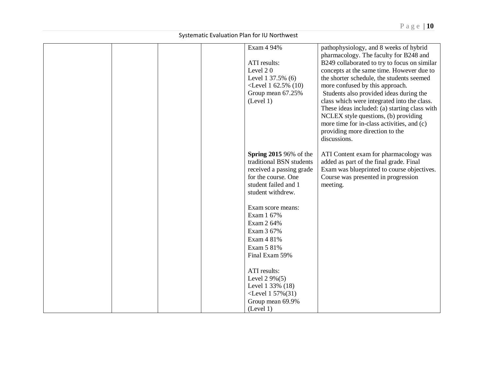|  |  | Exam 4 94%                    | pathophysiology, and 8 weeks of hybrid        |
|--|--|-------------------------------|-----------------------------------------------|
|  |  |                               | pharmacology. The faculty for B248 and        |
|  |  | ATI results:                  | B249 collaborated to try to focus on similar  |
|  |  | Level 20                      | concepts at the same time. However due to     |
|  |  | Level 1 37.5% (6)             | the shorter schedule, the students seemed     |
|  |  | $\le$ Level 1 62.5% (10)      | more confused by this approach.               |
|  |  | Group mean 67.25%             | Students also provided ideas during the       |
|  |  | (Level 1)                     | class which were integrated into the class.   |
|  |  |                               | These ideas included: (a) starting class with |
|  |  |                               | NCLEX style questions, (b) providing          |
|  |  |                               | more time for in-class activities, and (c)    |
|  |  |                               | providing more direction to the               |
|  |  |                               | discussions.                                  |
|  |  |                               |                                               |
|  |  | <b>Spring 2015 96% of the</b> | ATI Content exam for pharmacology was         |
|  |  | traditional BSN students      | added as part of the final grade. Final       |
|  |  | received a passing grade      | Exam was blueprinted to course objectives.    |
|  |  | for the course. One           | Course was presented in progression           |
|  |  | student failed and 1          | meeting.                                      |
|  |  | student withdrew.             |                                               |
|  |  |                               |                                               |
|  |  | Exam score means:             |                                               |
|  |  | Exam 1 67%                    |                                               |
|  |  | Exam 2 64%                    |                                               |
|  |  | Exam 3 67%                    |                                               |
|  |  | Exam 4 81%                    |                                               |
|  |  | Exam 5 81%                    |                                               |
|  |  | Final Exam 59%                |                                               |
|  |  |                               |                                               |
|  |  | ATI results:                  |                                               |
|  |  | Level $2.9\%(5)$              |                                               |
|  |  | Level 1 33% (18)              |                                               |
|  |  | $\le$ Level 1 57% $(31)$      |                                               |
|  |  | Group mean 69.9%              |                                               |
|  |  | (Level 1)                     |                                               |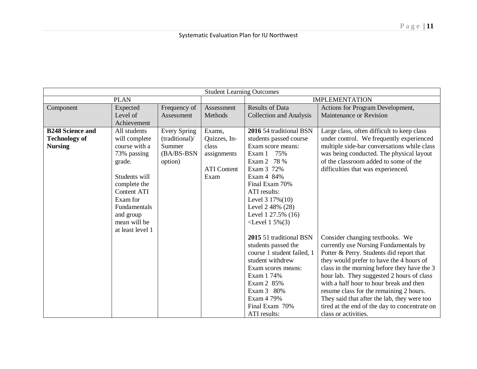|                         | <b>Student Learning Outcomes</b> |                     |                    |                                |                                               |  |  |  |
|-------------------------|----------------------------------|---------------------|--------------------|--------------------------------|-----------------------------------------------|--|--|--|
|                         | <b>PLAN</b>                      |                     |                    | <b>IMPLEMENTATION</b>          |                                               |  |  |  |
| Component               | Expected                         | Frequency of        | Assessment         | <b>Results of Data</b>         | Actions for Program Development,              |  |  |  |
|                         | Level of                         | Assessment          | Methods            | <b>Collection and Analysis</b> | Maintenance or Revision                       |  |  |  |
|                         | Achievement                      |                     |                    |                                |                                               |  |  |  |
| <b>B248 Science and</b> | All students                     | <b>Every Spring</b> | Exams,             | 2016 54 traditional BSN        | Large class, often difficult to keep class    |  |  |  |
| <b>Technology of</b>    | will complete                    | (traditional)/      | Quizzes, In-       | students passed course         | under control. We frequently experienced      |  |  |  |
| <b>Nursing</b>          | course with a                    | Summer              | class              | Exam score means:              | multiple side-bar conversations while class   |  |  |  |
|                         | 73% passing                      | (BA/BS-BSN          | assignments        | Exam 1 75%                     | was being conducted. The physical layout      |  |  |  |
|                         | grade.                           | option)             |                    | Exam 2 78 %                    | of the classroom added to some of the         |  |  |  |
|                         |                                  |                     | <b>ATI</b> Content | Exam 3 72%                     | difficulties that was experienced.            |  |  |  |
|                         | Students will                    |                     | Exam               | Exam 4 84%                     |                                               |  |  |  |
|                         | complete the                     |                     |                    | Final Exam 70%                 |                                               |  |  |  |
|                         | <b>Content ATI</b>               |                     |                    | ATI results:                   |                                               |  |  |  |
|                         | Exam for                         |                     |                    | Level 3 17%(10)                |                                               |  |  |  |
|                         | <b>Fundamentals</b>              |                     |                    | Level 2 48% (28)               |                                               |  |  |  |
|                         | and group                        |                     |                    | Level 1 27.5% (16)             |                                               |  |  |  |
|                         | mean will be                     |                     |                    | $\le$ Level 1 5% $(3)$         |                                               |  |  |  |
|                         | at least level 1                 |                     |                    |                                |                                               |  |  |  |
|                         |                                  |                     |                    | 2015 51 traditional BSN        | Consider changing textbooks. We               |  |  |  |
|                         |                                  |                     |                    | students passed the            | currently use Nursing Fundamentals by         |  |  |  |
|                         |                                  |                     |                    | course 1 student failed, 1     | Potter & Perry. Students did report that      |  |  |  |
|                         |                                  |                     |                    | student withdrew               | they would prefer to have the 4 hours of      |  |  |  |
|                         |                                  |                     |                    | Exam scores means:             | class in the morning before they have the 3   |  |  |  |
|                         |                                  |                     |                    | Exam 1 74%                     | hour lab. They suggested 2 hours of class     |  |  |  |
|                         |                                  |                     |                    | Exam 2 85%                     | with a half hour to hour break and then       |  |  |  |
|                         |                                  |                     |                    | Exam 3 80%                     | resume class for the remaining 2 hours.       |  |  |  |
|                         |                                  |                     |                    | Exam 4 79%                     | They said that after the lab, they were too   |  |  |  |
|                         |                                  |                     |                    | Final Exam 70%                 | tired at the end of the day to concentrate on |  |  |  |
|                         |                                  |                     |                    | ATI results:                   | class or activities.                          |  |  |  |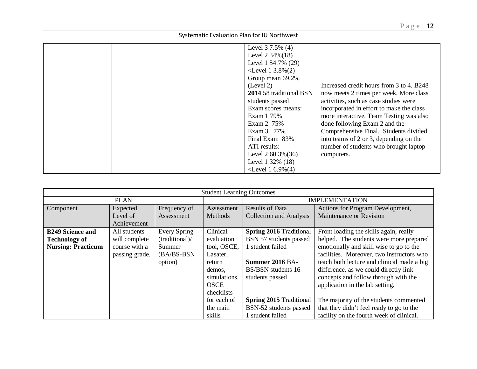| Level 3 7.5% (4)                     |                                          |
|--------------------------------------|------------------------------------------|
| Level $2\,34\%(18)$                  |                                          |
| Level 1 54.7% (29)                   |                                          |
| $\le$ Level 1 3.8% $(2)$             |                                          |
| Group mean 69.2%                     |                                          |
| (Level 2)                            | Increased credit hours from 3 to 4. B248 |
| 2014 58 traditional BSN              | now meets 2 times per week. More class   |
| students passed                      | activities, such as case studies were    |
| Exam scores means:                   | incorporated in effort to make the class |
| Exam 1 79%                           | more interactive. Team Testing was also  |
| Exam 2 75%                           | done following Exam 2 and the            |
| Exam 3 77%                           | Comprehensive Final. Students divided    |
| Final Exam 83%                       | into teams of 2 or 3, depending on the   |
| ATI results:                         | number of students who brought laptop    |
| Level $2,60.3\%(36)$                 | computers.                               |
| Level 1 32% (18)                     |                                          |
| <level 1="" 6.9%<math="">(4)</level> |                                          |

|                           |                |                     | <b>Student Learning Outcomes</b> |                                                                          |                                           |  |  |
|---------------------------|----------------|---------------------|----------------------------------|--------------------------------------------------------------------------|-------------------------------------------|--|--|
|                           | <b>PLAN</b>    |                     |                                  |                                                                          | <b>IMPLEMENTATION</b>                     |  |  |
| Component                 | Expected       | Frequency of        | Assessment                       | <b>Results of Data</b>                                                   | Actions for Program Development,          |  |  |
|                           | Level of       | Assessment          | Methods                          | <b>Collection and Analysis</b>                                           | Maintenance or Revision                   |  |  |
|                           | Achievement    |                     |                                  |                                                                          |                                           |  |  |
| <b>B249 Science and</b>   | All students   | <b>Every Spring</b> | Clinical                         | <b>Spring 2016 Traditional</b>                                           | Front loading the skills again, really    |  |  |
| <b>Technology of</b>      | will complete  | (traditional)/      | evaluation                       | BSN 57 students passed                                                   | helped. The students were more prepared   |  |  |
| <b>Nursing: Practicum</b> | course with a  | Summer              | tool, OSCE,                      | 1 student failed<br>emotionally and skill wise to go to the              |                                           |  |  |
|                           | passing grade. | (BA/BS-BSN          | Lasater,                         |                                                                          | facilities. Moreover, two instructors who |  |  |
|                           |                | option)             | return                           | Summer 2016 BA-<br>teach both lecture and clinical made a big            |                                           |  |  |
|                           |                |                     | demos,                           | BS/BSN students 16                                                       | difference, as we could directly link     |  |  |
|                           |                |                     | simulations,                     | students passed                                                          | concepts and follow through with the      |  |  |
|                           |                |                     | <b>OSCE</b>                      |                                                                          | application in the lab setting.           |  |  |
|                           |                |                     | checklists                       |                                                                          |                                           |  |  |
|                           |                |                     | for each of                      | <b>Spring 2015 Traditional</b><br>The majority of the students commented |                                           |  |  |
|                           |                |                     | the main                         | BSN-52 students passed                                                   | that they didn't feel ready to go to the  |  |  |
|                           |                |                     | skills                           | 1 student failed                                                         | facility on the fourth week of clinical.  |  |  |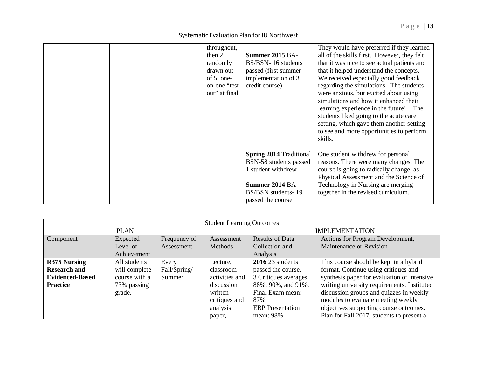| throughout,<br>then $2$<br>randomly<br>drawn out<br>of $5$ , one-<br>on-one "test<br>out" at final | <b>Summer 2015 BA-</b><br>BS/BSN-16 students<br>passed (first summer<br>implementation of 3<br>credit course)                                | They would have preferred if they learned<br>all of the skills first. However, they felt<br>that it was nice to see actual patients and<br>that it helped understand the concepts.<br>We received especially good feedback<br>regarding the simulations. The students<br>were anxious, but excited about using<br>simulations and how it enhanced their<br>learning experience in the future! The<br>students liked going to the acute care<br>setting, which gave them another setting<br>to see and more opportunities to perform<br>skills. |
|----------------------------------------------------------------------------------------------------|----------------------------------------------------------------------------------------------------------------------------------------------|------------------------------------------------------------------------------------------------------------------------------------------------------------------------------------------------------------------------------------------------------------------------------------------------------------------------------------------------------------------------------------------------------------------------------------------------------------------------------------------------------------------------------------------------|
|                                                                                                    | <b>Spring 2014 Traditional</b><br>BSN-58 students passed<br>1 student withdrew<br>Summer 2014 BA-<br>BS/BSN students-19<br>passed the course | One student withdrew for personal<br>reasons. There were many changes. The<br>course is going to radically change, as<br>Physical Assessment and the Science of<br>Technology in Nursing are merging<br>together in the revised curriculum.                                                                                                                                                                                                                                                                                                    |

| <b>Student Learning Outcomes</b> |               |              |                |                                                             |                                             |  |  |
|----------------------------------|---------------|--------------|----------------|-------------------------------------------------------------|---------------------------------------------|--|--|
|                                  | <b>PLAN</b>   |              |                |                                                             | <b>IMPLEMENTATION</b>                       |  |  |
| Component                        | Expected      | Frequency of | Assessment     | <b>Results of Data</b>                                      | Actions for Program Development,            |  |  |
|                                  | Level of      | Assessment   | Methods        | Collection and                                              | Maintenance or Revision                     |  |  |
|                                  | Achievement   |              |                | Analysis                                                    |                                             |  |  |
| R375 Nursing                     | All students  | Every        | Lecture,       | $201623$ students                                           | This course should be kept in a hybrid      |  |  |
| <b>Research and</b>              | will complete | Fall/Spring/ | classroom      | format. Continue using critiques and<br>passed the course.  |                                             |  |  |
| <b>Evidenced-Based</b>           | course with a | Summer       | activities and | 3 Critiques averages                                        | synthesis paper for evaluation of intensive |  |  |
| <b>Practice</b>                  | 73% passing   |              | discussion,    | 88%, 90%, and 91%.                                          | writing university requirements. Instituted |  |  |
|                                  | grade.        |              | written        | discussion groups and quizzes in weekly<br>Final Exam mean: |                                             |  |  |
|                                  |               |              | critiques and  | modules to evaluate meeting weekly<br>87%                   |                                             |  |  |
|                                  |               |              | analysis       | <b>EBP</b> Presentation                                     | objectives supporting course outcomes.      |  |  |
|                                  |               |              | paper,         | mean: 98%                                                   | Plan for Fall 2017, students to present a   |  |  |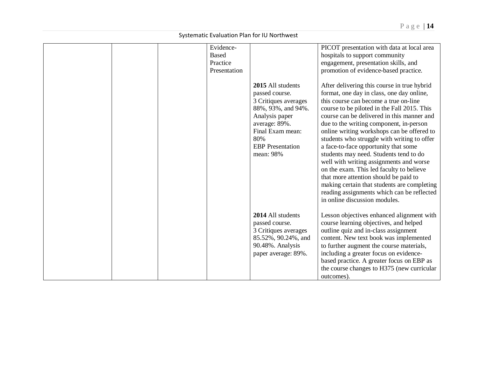|  | Evidence-<br><b>Based</b> |                                                                                                                                                                                         | PICOT presentation with data at local area<br>hospitals to support community                                                                                                                                                                                                                                                                                                                                                                                                                                                                                                                                                                                                                                           |
|--|---------------------------|-----------------------------------------------------------------------------------------------------------------------------------------------------------------------------------------|------------------------------------------------------------------------------------------------------------------------------------------------------------------------------------------------------------------------------------------------------------------------------------------------------------------------------------------------------------------------------------------------------------------------------------------------------------------------------------------------------------------------------------------------------------------------------------------------------------------------------------------------------------------------------------------------------------------------|
|  | Practice<br>Presentation  |                                                                                                                                                                                         | engagement, presentation skills, and<br>promotion of evidence-based practice.                                                                                                                                                                                                                                                                                                                                                                                                                                                                                                                                                                                                                                          |
|  |                           | 2015 All students<br>passed course.<br>3 Critiques averages<br>88%, 93%, and 94%.<br>Analysis paper<br>average: 89%.<br>Final Exam mean:<br>80%<br><b>EBP</b> Presentation<br>mean: 98% | After delivering this course in true hybrid<br>format, one day in class, one day online,<br>this course can become a true on-line<br>course to be piloted in the Fall 2015. This<br>course can be delivered in this manner and<br>due to the writing component, in-person<br>online writing workshops can be offered to<br>students who struggle with writing to offer<br>a face-to-face opportunity that some<br>students may need. Students tend to do<br>well with writing assignments and worse<br>on the exam. This led faculty to believe<br>that more attention should be paid to<br>making certain that students are completing<br>reading assignments which can be reflected<br>in online discussion modules. |
|  |                           | 2014 All students<br>passed course.<br>3 Critiques averages<br>85.52%, 90.24%, and<br>90.48%. Analysis<br>paper average: 89%.                                                           | Lesson objectives enhanced alignment with<br>course learning objectives, and helped<br>outline quiz and in-class assignment<br>content. New text book was implemented<br>to further augment the course materials,<br>including a greater focus on evidence-<br>based practice. A greater focus on EBP as<br>the course changes to H375 (new curricular<br>outcomes).                                                                                                                                                                                                                                                                                                                                                   |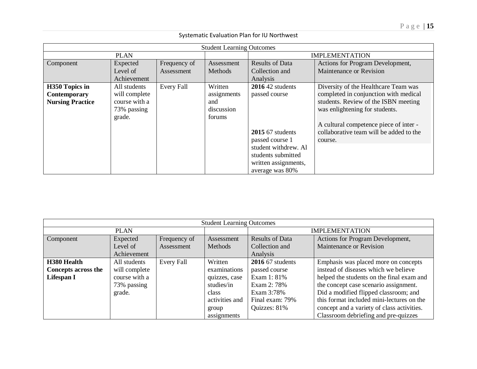|                                                           | <b>Student Learning Outcomes</b>                                        |                   |                                                       |                                                                                                      |                                                                                                                                                                                                                                                         |  |  |  |
|-----------------------------------------------------------|-------------------------------------------------------------------------|-------------------|-------------------------------------------------------|------------------------------------------------------------------------------------------------------|---------------------------------------------------------------------------------------------------------------------------------------------------------------------------------------------------------------------------------------------------------|--|--|--|
|                                                           | <b>PLAN</b>                                                             |                   |                                                       |                                                                                                      | <b>IMPLEMENTATION</b>                                                                                                                                                                                                                                   |  |  |  |
| Component                                                 | Expected<br>Level of                                                    | Frequency of      | Assessment<br>Methods                                 | <b>Results of Data</b><br>Actions for Program Development,                                           |                                                                                                                                                                                                                                                         |  |  |  |
|                                                           | Achievement                                                             | Assessment        |                                                       | Collection and<br>Analysis                                                                           | Maintenance or Revision                                                                                                                                                                                                                                 |  |  |  |
| H350 Topics in<br>Contemporary<br><b>Nursing Practice</b> | All students<br>will complete<br>course with a<br>73% passing<br>grade. | <b>Every Fall</b> | Written<br>assignments<br>and<br>discussion<br>forums | $2016$ 42 students<br>passed course<br>$2015$ 67 students<br>passed course 1<br>student withdrew. Al | Diversity of the Healthcare Team was<br>completed in conjunction with medical<br>students. Review of the ISBN meeting<br>was enlightening for students.<br>A cultural competence piece of inter -<br>collaborative team will be added to the<br>course. |  |  |  |
|                                                           |                                                                         |                   |                                                       | students submitted<br>written assignments,<br>average was 80%                                        |                                                                                                                                                                                                                                                         |  |  |  |

| <b>Student Learning Outcomes</b> |               |              |                |                                                              |                                           |  |  |
|----------------------------------|---------------|--------------|----------------|--------------------------------------------------------------|-------------------------------------------|--|--|
|                                  | <b>PLAN</b>   |              |                |                                                              | <b>IMPLEMENTATION</b>                     |  |  |
| Component                        | Expected      | Frequency of | Assessment     | <b>Results of Data</b>                                       | Actions for Program Development,          |  |  |
|                                  | Level of      | Assessment   | Methods        | Collection and                                               | Maintenance or Revision                   |  |  |
|                                  | Achievement   |              |                | Analysis                                                     |                                           |  |  |
| H380 Health                      | All students  | Every Fall   | Written        | 2016 67 students<br>Emphasis was placed more on concepts     |                                           |  |  |
| <b>Concepts across the</b>       | will complete |              | examinations   | passed course                                                | instead of diseases which we believe      |  |  |
| Lifespan I                       | course with a |              | quizzes, case  | Exam 1: 81%                                                  | helped the students on the final exam and |  |  |
|                                  | 73% passing   |              | studies/in     | the concept case scenario assignment.<br>Exam 2: 78%         |                                           |  |  |
|                                  | grade.        |              | class          | Did a modified flipped classroom; and<br>Exam 3:78%          |                                           |  |  |
|                                  |               |              | activities and | this format included mini-lectures on the<br>Final exam: 79% |                                           |  |  |
|                                  |               |              | group          | Quizzes: 81%<br>concept and a variety of class activities.   |                                           |  |  |
|                                  |               |              | assignments    |                                                              | Classroom debriefing and pre-quizzes      |  |  |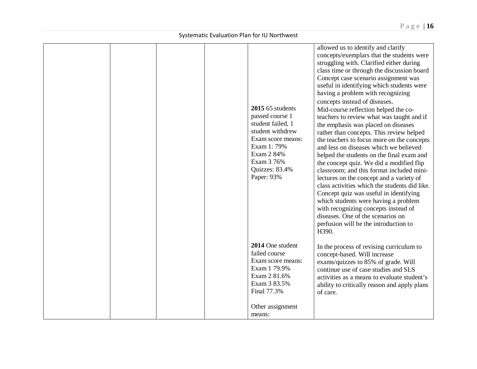|  |  | 2015 65 students<br>passed course 1<br>student failed, 1<br>student withdrew<br>Exam score means:<br>Exam 1: 79%<br>Exam 2 84%<br>Exam 3 76%<br>Quizzes: 83.4%<br>Paper: 93% | allowed us to identify and clarify<br>concepts/exemplars that the students were<br>struggling with. Clarified either during<br>class time or through the discussion board<br>Concept case scenario assignment was<br>useful in identifying which students were<br>having a problem with recognizing<br>concepts instead of diseases.<br>Mid-course reflection helped the co-<br>teachers to review what was taught and if<br>the emphasis was placed on diseases<br>rather than concepts. This review helped<br>the teachers to focus more on the concepts<br>and less on diseases which we believed<br>helped the students on the final exam and<br>the concept quiz. We did a modified flip<br>classroom; and this format included mini-<br>lectures on the concept and a variety of<br>class activities which the students did like.<br>Concept quiz was useful in identifying<br>which students were having a problem<br>with recognizing concepts instead of<br>diseases. One of the scenarios on<br>perfusion will be the introduction to<br>H390. |
|--|--|------------------------------------------------------------------------------------------------------------------------------------------------------------------------------|----------------------------------------------------------------------------------------------------------------------------------------------------------------------------------------------------------------------------------------------------------------------------------------------------------------------------------------------------------------------------------------------------------------------------------------------------------------------------------------------------------------------------------------------------------------------------------------------------------------------------------------------------------------------------------------------------------------------------------------------------------------------------------------------------------------------------------------------------------------------------------------------------------------------------------------------------------------------------------------------------------------------------------------------------------|
|  |  | 2014 One student<br>failed course<br>Exam score means:<br>Exam 1 79.9%<br>Exam 2 81.6%<br>Exam 3 83.5%<br>Final 77.3%                                                        | In the process of revising curriculum to<br>concept-based. Will increase<br>exams/quizzes to 85% of grade. Will<br>continue use of case studies and SLS<br>activities as a means to evaluate student's<br>ability to critically reason and apply plans<br>of care.                                                                                                                                                                                                                                                                                                                                                                                                                                                                                                                                                                                                                                                                                                                                                                                       |
|  |  | Other assignment<br>means:                                                                                                                                                   |                                                                                                                                                                                                                                                                                                                                                                                                                                                                                                                                                                                                                                                                                                                                                                                                                                                                                                                                                                                                                                                          |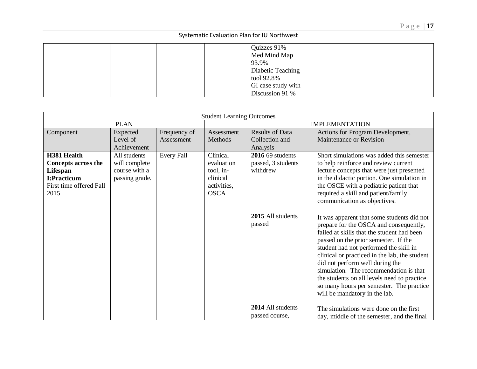|  |  | Quizzes 91%        |  |
|--|--|--------------------|--|
|  |  | Med Mind Map       |  |
|  |  | 93.9%              |  |
|  |  | Diabetic Teaching  |  |
|  |  | tool 92.8%         |  |
|  |  | GI case study with |  |
|  |  | Discussion 91 %    |  |
|  |  |                    |  |

|                                                                                                         | <b>Student Learning Outcomes</b>                                 |                            |                                                                               |                                                      |                                                                                                                                                                                                                                                                                                                                                                                                                                                                                |  |
|---------------------------------------------------------------------------------------------------------|------------------------------------------------------------------|----------------------------|-------------------------------------------------------------------------------|------------------------------------------------------|--------------------------------------------------------------------------------------------------------------------------------------------------------------------------------------------------------------------------------------------------------------------------------------------------------------------------------------------------------------------------------------------------------------------------------------------------------------------------------|--|
|                                                                                                         | <b>PLAN</b>                                                      |                            |                                                                               |                                                      | <b>IMPLEMENTATION</b>                                                                                                                                                                                                                                                                                                                                                                                                                                                          |  |
| Component                                                                                               | Expected<br>Level of<br>Achievement                              | Frequency of<br>Assessment | Assessment<br>Methods                                                         | <b>Results of Data</b><br>Collection and<br>Analysis | Actions for Program Development,<br>Maintenance or Revision                                                                                                                                                                                                                                                                                                                                                                                                                    |  |
| H381 Health<br><b>Concepts across the</b><br>Lifespan<br>I:Practicum<br>First time offered Fall<br>2015 | All students<br>will complete<br>course with a<br>passing grade. | Every Fall                 | Clinical<br>evaluation<br>tool, in-<br>clinical<br>activities,<br><b>OSCA</b> | 2016 69 students<br>passed, 3 students<br>withdrew   | Short simulations was added this semester<br>to help reinforce and review current<br>lecture concepts that were just presented<br>in the didactic portion. One simulation in<br>the OSCE with a pediatric patient that<br>required a skill and patient/family<br>communication as objectives.                                                                                                                                                                                  |  |
|                                                                                                         |                                                                  |                            |                                                                               | 2015 All students<br>passed<br>2014 All students     | It was apparent that some students did not<br>prepare for the OSCA and consequently,<br>failed at skills that the student had been<br>passed on the prior semester. If the<br>student had not performed the skill in<br>clinical or practiced in the lab, the student<br>did not perform well during the<br>simulation. The recommendation is that<br>the students on all levels need to practice<br>so many hours per semester. The practice<br>will be mandatory in the lab. |  |
|                                                                                                         |                                                                  |                            |                                                                               | passed course,                                       | The simulations were done on the first<br>day, middle of the semester, and the final                                                                                                                                                                                                                                                                                                                                                                                           |  |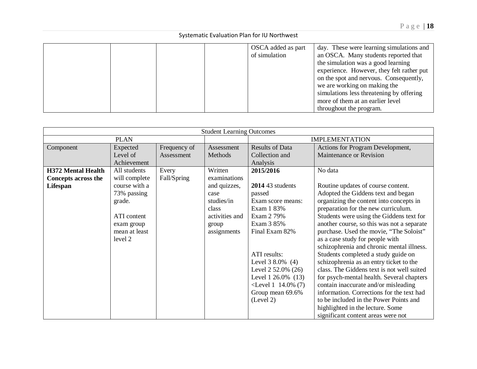|  |  | OSCA added as part | day. These were learning simulations and  |
|--|--|--------------------|-------------------------------------------|
|  |  | of simulation      | an OSCA. Many students reported that      |
|  |  |                    | the simulation was a good learning        |
|  |  |                    | experience. However, they felt rather put |
|  |  |                    | on the spot and nervous. Consequently,    |
|  |  |                    | we are working on making the              |
|  |  |                    | simulations less threatening by offering  |
|  |  |                    | more of them at an earlier level          |
|  |  |                    | throughout the program.                   |

|                            | <b>Student Learning Outcomes</b> |              |                |                         |                                            |  |
|----------------------------|----------------------------------|--------------|----------------|-------------------------|--------------------------------------------|--|
|                            | <b>PLAN</b>                      |              |                |                         | <b>IMPLEMENTATION</b>                      |  |
| Component                  | Expected                         | Frequency of | Assessment     | <b>Results of Data</b>  | Actions for Program Development,           |  |
|                            | Level of                         | Assessment   | Methods        | Collection and          | Maintenance or Revision                    |  |
|                            | Achievement                      |              |                | Analysis                |                                            |  |
| <b>H372 Mental Health</b>  | All students                     | Every        | Written        | 2015/2016               | No data                                    |  |
| <b>Concepts across the</b> | will complete                    | Fall/Spring  | examinations   |                         |                                            |  |
| Lifespan                   | course with a                    |              | and quizzes,   | 2014 43 students        | Routine updates of course content.         |  |
|                            | 73% passing                      |              | case           | passed                  | Adopted the Giddens text and began         |  |
|                            | grade.                           |              | studies/in     | Exam score means:       | organizing the content into concepts in    |  |
|                            |                                  |              | class          | Exam 1 83%              | preparation for the new curriculum.        |  |
|                            | ATI content                      |              | activities and | Exam 2 79%              | Students were using the Giddens text for   |  |
|                            | exam group                       |              | group          | Exam 3 85%              | another course, so this was not a separate |  |
|                            | mean at least                    |              | assignments    | Final Exam 82%          | purchase. Used the movie, "The Soloist"    |  |
|                            | level 2                          |              |                |                         | as a case study for people with            |  |
|                            |                                  |              |                |                         | schizophrenia and chronic mental illness.  |  |
|                            |                                  |              |                | ATI results:            | Students completed a study guide on        |  |
|                            |                                  |              |                | Level $38.0\%$ (4)      | schizophrenia as an entry ticket to the    |  |
|                            |                                  |              |                | Level $2,52.0\%$ (26)   | class. The Giddens text is not well suited |  |
|                            |                                  |              |                | Level $1\,26.0\%$ (13)  | for psych-mental health. Several chapters  |  |
|                            |                                  |              |                | $\le$ Level 1 14.0% (7) | contain inaccurate and/or misleading       |  |
|                            |                                  |              |                | Group mean 69.6%        | information. Corrections for the text had  |  |
|                            |                                  |              |                | (Level 2)               | to be included in the Power Points and     |  |
|                            |                                  |              |                |                         | highlighted in the lecture. Some           |  |
|                            |                                  |              |                |                         | significant content areas were not         |  |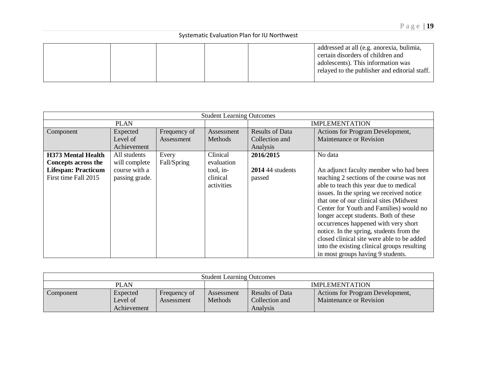|  |  | addressed at all (e.g. anorexia, bulimia,     |
|--|--|-----------------------------------------------|
|  |  | certain disorders of children and             |
|  |  | adolescents). This information was            |
|  |  | relayed to the publisher and editorial staff. |
|  |  |                                               |

|                                                         | <b>Student Learning Outcomes</b> |                            |                                     |                                          |                                                                                                                                                                                                                                                                                                                                                                                                                                                                                                                                 |  |  |
|---------------------------------------------------------|----------------------------------|----------------------------|-------------------------------------|------------------------------------------|---------------------------------------------------------------------------------------------------------------------------------------------------------------------------------------------------------------------------------------------------------------------------------------------------------------------------------------------------------------------------------------------------------------------------------------------------------------------------------------------------------------------------------|--|--|
|                                                         | <b>PLAN</b>                      |                            |                                     |                                          | <b>IMPLEMENTATION</b>                                                                                                                                                                                                                                                                                                                                                                                                                                                                                                           |  |  |
| Component                                               | Expected<br>Level of             | Frequency of<br>Assessment | Assessment<br>Methods               | <b>Results of Data</b><br>Collection and | Actions for Program Development,<br>Maintenance or Revision                                                                                                                                                                                                                                                                                                                                                                                                                                                                     |  |  |
|                                                         | Achievement                      |                            |                                     | Analysis                                 |                                                                                                                                                                                                                                                                                                                                                                                                                                                                                                                                 |  |  |
| <b>H373 Mental Health</b><br><b>Concepts across the</b> | All students<br>will complete    | Every<br>Fall/Spring       | Clinical<br>evaluation              | 2016/2015                                | No data                                                                                                                                                                                                                                                                                                                                                                                                                                                                                                                         |  |  |
| <b>Lifespan: Practicum</b><br>First time Fall 2015      | course with a<br>passing grade.  |                            | tool, in-<br>clinical<br>activities | $2014$ 44 students<br>passed             | An adjunct faculty member who had been<br>teaching 2 sections of the course was not<br>able to teach this year due to medical<br>issues. In the spring we received notice<br>that one of our clinical sites (Midwest)<br>Center for Youth and Families) would no<br>longer accept students. Both of these<br>occurrences happened with very short<br>notice. In the spring, students from the<br>closed clinical site were able to be added<br>into the existing clinical groups resulting<br>in most groups having 9 students. |  |  |

| <b>Student Learning Outcomes</b> |             |              |                |                        |                                  |  |  |
|----------------------------------|-------------|--------------|----------------|------------------------|----------------------------------|--|--|
| <b>PLAN</b>                      |             |              |                | <b>IMPLEMENTATION</b>  |                                  |  |  |
| Component                        | Expected    | Frequency of | Assessment     | <b>Results of Data</b> | Actions for Program Development, |  |  |
|                                  | Level of    | Assessment   | <b>Methods</b> | Collection and         | <b>Maintenance or Revision</b>   |  |  |
|                                  | Achievement |              |                | Analysis               |                                  |  |  |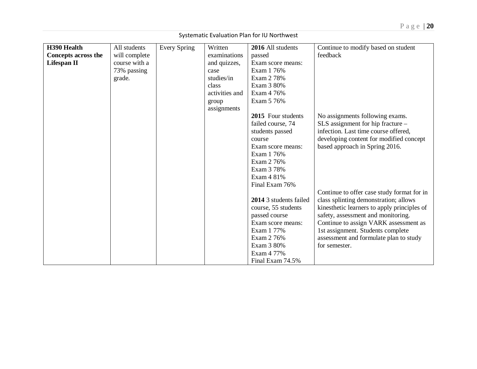|                                                                 | Systematic Evaluation Plan for IU Northwest                             |              |                                                                                                                  |                                                                                                                                                                                                                                                                             |                                                                                                                                                                                                                                                                                                                   |  |  |
|-----------------------------------------------------------------|-------------------------------------------------------------------------|--------------|------------------------------------------------------------------------------------------------------------------|-----------------------------------------------------------------------------------------------------------------------------------------------------------------------------------------------------------------------------------------------------------------------------|-------------------------------------------------------------------------------------------------------------------------------------------------------------------------------------------------------------------------------------------------------------------------------------------------------------------|--|--|
| H390 Health<br><b>Concepts across the</b><br><b>Lifespan II</b> | All students<br>will complete<br>course with a<br>73% passing<br>grade. | Every Spring | Written<br>examinations<br>and quizzes,<br>case<br>studies/in<br>class<br>activities and<br>group<br>assignments | 2016 All students<br>passed<br>Exam score means:<br>Exam 1 76%<br>Exam 2 78%<br>Exam 3 80%<br>Exam 4 76%<br>Exam 5 76%<br>2015 Four students<br>failed course, 74<br>students passed<br>course<br>Exam score means:<br>Exam 1 76%<br>Exam 2 76%<br>Exam 3 78%<br>Exam 4 81% | Continue to modify based on student<br>feedback<br>No assignments following exams.<br>$SLS$ assignment for hip fracture $-$<br>infection. Last time course offered,<br>developing content for modified concept<br>based approach in Spring 2016.                                                                  |  |  |
|                                                                 |                                                                         |              |                                                                                                                  | Final Exam 76%<br>2014 3 students failed<br>course, 55 students<br>passed course<br>Exam score means:<br>Exam 1 77%<br>Exam 2 76%<br>Exam 3 80%<br>Exam 4 77%<br>Final Exam 74.5%                                                                                           | Continue to offer case study format for in<br>class splinting demonstration; allows<br>kinesthetic learners to apply principles of<br>safety, assessment and monitoring.<br>Continue to assign VARK assessment as<br>1st assignment. Students complete<br>assessment and formulate plan to study<br>for semester. |  |  |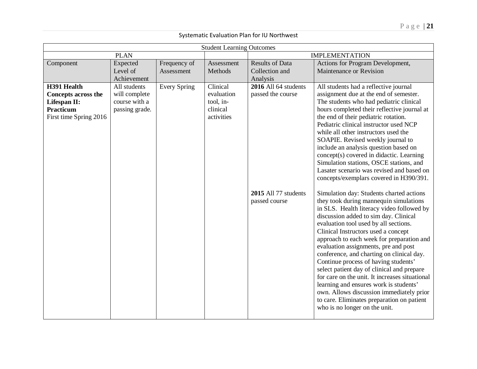|                                                                                                  |                                                                                 |                            | <b>Student Learning Outcomes</b>                              |                                                                                                |                                                                                                                                                                                                                                                                                                                                                                                                                                                                                                                                                                                                                                                                                                                                                                                                                                                                                                                                                                                                                                                                                                                                                                                                                                                                             |  |
|--------------------------------------------------------------------------------------------------|---------------------------------------------------------------------------------|----------------------------|---------------------------------------------------------------|------------------------------------------------------------------------------------------------|-----------------------------------------------------------------------------------------------------------------------------------------------------------------------------------------------------------------------------------------------------------------------------------------------------------------------------------------------------------------------------------------------------------------------------------------------------------------------------------------------------------------------------------------------------------------------------------------------------------------------------------------------------------------------------------------------------------------------------------------------------------------------------------------------------------------------------------------------------------------------------------------------------------------------------------------------------------------------------------------------------------------------------------------------------------------------------------------------------------------------------------------------------------------------------------------------------------------------------------------------------------------------------|--|
|                                                                                                  | <b>PLAN</b>                                                                     |                            |                                                               | <b>IMPLEMENTATION</b>                                                                          |                                                                                                                                                                                                                                                                                                                                                                                                                                                                                                                                                                                                                                                                                                                                                                                                                                                                                                                                                                                                                                                                                                                                                                                                                                                                             |  |
| Component                                                                                        | Expected<br>Level of                                                            | Frequency of<br>Assessment | Assessment<br>Methods                                         | <b>Results of Data</b><br>Collection and                                                       | Actions for Program Development,<br>Maintenance or Revision                                                                                                                                                                                                                                                                                                                                                                                                                                                                                                                                                                                                                                                                                                                                                                                                                                                                                                                                                                                                                                                                                                                                                                                                                 |  |
| H391 Health<br><b>Concepts across the</b><br>Lifespan II:<br>Practicum<br>First time Spring 2016 | Achievement<br>All students<br>will complete<br>course with a<br>passing grade. | <b>Every Spring</b>        | Clinical<br>evaluation<br>tool, in-<br>clinical<br>activities | Analysis<br>2016 All 64 students<br>passed the course<br>2015 All 77 students<br>passed course | All students had a reflective journal<br>assignment due at the end of semester.<br>The students who had pediatric clinical<br>hours completed their reflective journal at<br>the end of their pediatric rotation.<br>Pediatric clinical instructor used NCP<br>while all other instructors used the<br>SOAPIE. Revised weekly journal to<br>include an analysis question based on<br>concept(s) covered in didactic. Learning<br>Simulation stations, OSCE stations, and<br>Lasater scenario was revised and based on<br>concepts/exemplars covered in H390/391.<br>Simulation day: Students charted actions<br>they took during mannequin simulations<br>in SLS. Health literacy video followed by<br>discussion added to sim day. Clinical<br>evaluation tool used by all sections.<br>Clinical Instructors used a concept<br>approach to each week for preparation and<br>evaluation assignments, pre and post<br>conference, and charting on clinical day.<br>Continue process of having students'<br>select patient day of clinical and prepare<br>for care on the unit. It increases situational<br>learning and ensures work is students'<br>own. Allows discussion immediately prior<br>to care. Eliminates preparation on patient<br>who is no longer on the unit. |  |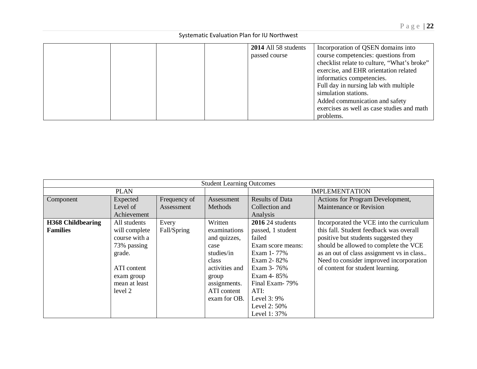|  |  | 2014 All 58 students | Incorporation of QSEN domains into          |
|--|--|----------------------|---------------------------------------------|
|  |  | passed course        | course competencies: questions from         |
|  |  |                      | checklist relate to culture, "What's broke" |
|  |  |                      | exercise, and EHR orientation related       |
|  |  |                      | informatics competencies.                   |
|  |  |                      | Full day in nursing lab with multiple       |
|  |  |                      | simulation stations.                        |
|  |  |                      | Added communication and safety              |
|  |  |                      | exercises as well as case studies and math  |
|  |  |                      | problems.                                   |

|                          | <b>Student Learning Outcomes</b> |              |                |                         |                                           |  |  |
|--------------------------|----------------------------------|--------------|----------------|-------------------------|-------------------------------------------|--|--|
|                          | <b>PLAN</b>                      |              |                |                         | <b>IMPLEMENTATION</b>                     |  |  |
| Component                | Expected                         | Frequency of | Assessment     | <b>Results of Data</b>  | Actions for Program Development,          |  |  |
|                          | Level of                         | Assessment   | Methods        | Collection and          | Maintenance or Revision                   |  |  |
|                          | Achievement                      |              |                | Analysis                |                                           |  |  |
| <b>H368 Childbearing</b> | All students                     | Every        | Written        | <b>2016</b> 24 students | Incorporated the VCE into the curriculum  |  |  |
| <b>Families</b>          | will complete                    | Fall/Spring  | examinations   | passed, 1 student       | this fall. Student feedback was overall   |  |  |
|                          | course with a                    |              | and quizzes,   | failed                  | positive but students suggested they      |  |  |
|                          | 73% passing                      |              | case           | Exam score means:       | should be allowed to complete the VCE     |  |  |
|                          | grade.                           |              | studies/in     | Exam 1-77%              | as an out of class assignment vs in class |  |  |
|                          |                                  |              | class          | Exam 2-82%              | Need to consider improved incorporation   |  |  |
|                          | ATI content                      |              | activities and | Exam 3-76%              | of content for student learning.          |  |  |
|                          | exam group                       |              | group          | Exam 4-85%              |                                           |  |  |
|                          | mean at least                    |              | assignments.   | Final Exam-79%          |                                           |  |  |
|                          | level 2                          |              | ATI content    | ATI:                    |                                           |  |  |
|                          |                                  |              | exam for OB.   | Level $3:9\%$           |                                           |  |  |
|                          |                                  |              |                | Level 2: 50%            |                                           |  |  |
|                          |                                  |              |                | Level 1:37%             |                                           |  |  |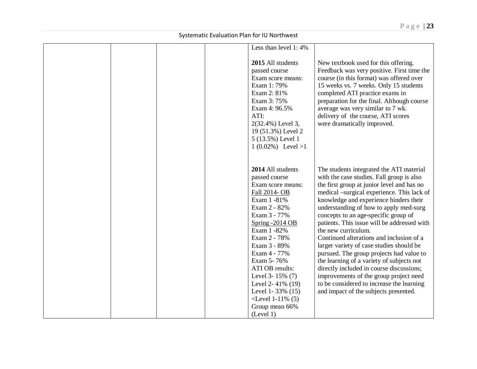|  |  | Less than level 1:4%<br>2015 All students<br>passed course<br>Exam score means:<br>Exam 1: 79%<br>Exam 2: 81%                                                                                                                                                                                                                                                 | New textbook used for this offering.<br>Feedback was very positive. First time the<br>course (in this format) was offered over<br>15 weeks vs. 7 weeks. Only 15 students<br>completed ATI practice exams in                                                                                                                                                                                                                                                                                                                                                                                                                                                                                                                                      |
|--|--|---------------------------------------------------------------------------------------------------------------------------------------------------------------------------------------------------------------------------------------------------------------------------------------------------------------------------------------------------------------|--------------------------------------------------------------------------------------------------------------------------------------------------------------------------------------------------------------------------------------------------------------------------------------------------------------------------------------------------------------------------------------------------------------------------------------------------------------------------------------------------------------------------------------------------------------------------------------------------------------------------------------------------------------------------------------------------------------------------------------------------|
|  |  | Exam 3: 75%<br>Exam 4: 96.5%<br>ATI:<br>2(32.4%) Level 3,<br>19 (51.3%) Level 2<br>5 (13.5%) Level 1<br>$1(0.02\%)$ Level >1                                                                                                                                                                                                                                  | preparation for the final. Although course<br>average was very similar to 7 wk.<br>delivery of the course, ATI scores<br>were dramatically improved.                                                                                                                                                                                                                                                                                                                                                                                                                                                                                                                                                                                             |
|  |  | 2014 All students<br>passed course<br>Exam score means:<br>Fall 2014- OB<br>Exam 1 -81%<br>Exam 2 - 82%<br>Exam 3 - 77%<br>Spring -2014 OB<br>Exam 1 -82%<br>Exam 2 - 78%<br>Exam 3 - 89%<br>Exam 4 - 77%<br>Exam 5-76%<br>ATI OB results:<br>Level 3-15% (7)<br>Level 2-41% (19)<br>Level 1-33% (15)<br>$\le$ Level 1-11% (5)<br>Group mean 66%<br>(Level 1) | The students integrated the ATI material<br>with the case studies. Fall group is also<br>the first group at junior level and has no<br>medical -surgical experience. This lack of<br>knowledge and experience hinders their<br>understanding of how to apply med-surg<br>concepts to an age-specific group of<br>patients. This issue will be addressed with<br>the new curriculum.<br>Continued alterations and inclusion of a<br>larger variety of case studies should be<br>pursued. The group projects had value to<br>the learning of a variety of subjects not<br>directly included in course discussions;<br>improvements of the group project need<br>to be considered to increase the learning<br>and impact of the subjects presented. |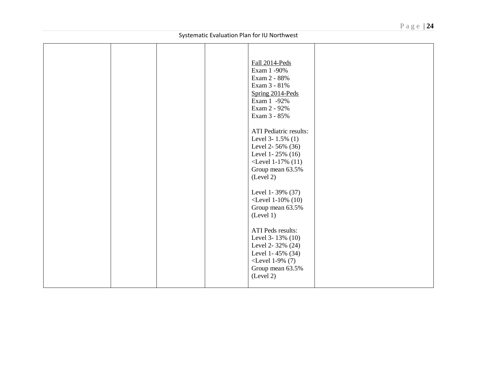| Fall 2014-Peds<br>Exam 1 -90%<br>Exam 2 - 88%<br>Exam 3 - 81%<br>Spring 2014-Peds<br>Exam 1 -92%<br>Exam 2 - 92%<br>Exam 3 - 85%<br><b>ATI</b> Pediatric results:<br>Level 3- $1.5\%$ (1)<br>Level 2-56% (36)<br>Level 1-25% (16)<br>$<$ Level 1-17% (11)<br>Group mean 63.5%<br>(Level 2)<br>Level 1-39% (37)<br>$\le$ Level 1-10% (10)<br>Group mean 63.5%<br>(Level 1)<br>ATI Peds results:<br>Level 3-13% (10)<br>Level 2-32% (24)<br>Level 1-45% (34)<br>$<$ Level 1-9% (7)<br>Group mean 63.5%<br>(Level 2) |
|-------------------------------------------------------------------------------------------------------------------------------------------------------------------------------------------------------------------------------------------------------------------------------------------------------------------------------------------------------------------------------------------------------------------------------------------------------------------------------------------------------------------|
|                                                                                                                                                                                                                                                                                                                                                                                                                                                                                                                   |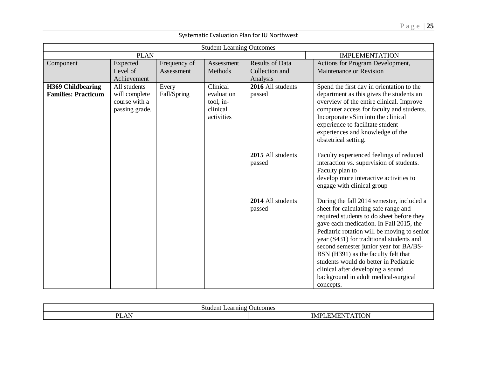| <b>Student Learning Outcomes</b> |                |              |            |                        |                                             |  |  |
|----------------------------------|----------------|--------------|------------|------------------------|---------------------------------------------|--|--|
|                                  |                |              |            |                        |                                             |  |  |
|                                  | <b>PLAN</b>    |              |            |                        | <b>IMPLEMENTATION</b>                       |  |  |
| Component                        | Expected       | Frequency of | Assessment | <b>Results of Data</b> | Actions for Program Development,            |  |  |
|                                  | Level of       | Assessment   | Methods    | Collection and         | Maintenance or Revision                     |  |  |
|                                  | Achievement    |              |            | Analysis               |                                             |  |  |
| <b>H369 Childbearing</b>         | All students   | Every        | Clinical   | 2016 All students      | Spend the first day in orientation to the   |  |  |
| <b>Families: Practicum</b>       | will complete  | Fall/Spring  | evaluation | passed                 | department as this gives the students an    |  |  |
|                                  | course with a  |              | tool, in-  |                        | overview of the entire clinical. Improve    |  |  |
|                                  | passing grade. |              | clinical   |                        | computer access for faculty and students.   |  |  |
|                                  |                |              | activities |                        | Incorporate vSim into the clinical          |  |  |
|                                  |                |              |            |                        | experience to facilitate student            |  |  |
|                                  |                |              |            |                        | experiences and knowledge of the            |  |  |
|                                  |                |              |            |                        | obstetrical setting.                        |  |  |
|                                  |                |              |            |                        |                                             |  |  |
|                                  |                |              |            | 2015 All students      | Faculty experienced feelings of reduced     |  |  |
|                                  |                |              |            | passed                 | interaction vs. supervision of students.    |  |  |
|                                  |                |              |            |                        | Faculty plan to                             |  |  |
|                                  |                |              |            |                        | develop more interactive activities to      |  |  |
|                                  |                |              |            |                        | engage with clinical group                  |  |  |
|                                  |                |              |            |                        |                                             |  |  |
|                                  |                |              |            | 2014 All students      | During the fall 2014 semester, included a   |  |  |
|                                  |                |              |            | passed                 | sheet for calculating safe range and        |  |  |
|                                  |                |              |            |                        | required students to do sheet before they   |  |  |
|                                  |                |              |            |                        | gave each medication. In Fall 2015, the     |  |  |
|                                  |                |              |            |                        | Pediatric rotation will be moving to senior |  |  |
|                                  |                |              |            |                        | year (S431) for traditional students and    |  |  |
|                                  |                |              |            |                        | second semester junior year for BA/BS-      |  |  |
|                                  |                |              |            |                        | BSN (H391) as the faculty felt that         |  |  |
|                                  |                |              |            |                        | students would do better in Pediatric       |  |  |
|                                  |                |              |            |                        | clinical after developing a sound           |  |  |
|                                  |                |              |            |                        | background in adult medical-surgical        |  |  |
|                                  |                |              |            |                        | concepts.                                   |  |  |

| ∴ ta a ci<br>$\sim$<br>$\sim$ $\sim$ $\sim$ $\sim$ $\sim$<br>.icom :<br>۱Δ |             |  |  |  |
|----------------------------------------------------------------------------|-------------|--|--|--|
| DI<br>$\mathbf{N}$<br>$\overline{\phantom{a}}$                             | $\sim$<br>M |  |  |  |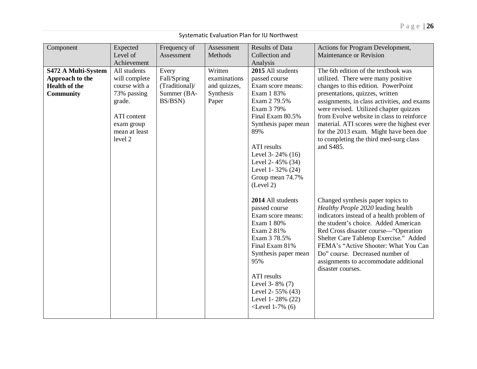| Component            | Expected      | Frequency of   | Assessment   | <b>Results of Data</b> | Actions for Program Development,            |
|----------------------|---------------|----------------|--------------|------------------------|---------------------------------------------|
|                      | Level of      | Assessment     | Methods      | Collection and         | Maintenance or Revision                     |
|                      | Achievement   |                |              | Analysis               |                                             |
| S472 A Multi-System  | All students  | Every          | Written      | 2015 All students      | The 6th edition of the textbook was         |
| Approach to the      | will complete | Fall/Spring    | examinations | passed course          | utilized. There were many positive          |
| <b>Health of the</b> | course with a | (Traditional)/ | and quizzes, | Exam score means:      | changes to this edition. PowerPoint         |
| <b>Community</b>     | 73% passing   | Summer (BA-    | Synthesis    | Exam 1 83%             | presentations, quizzes, written             |
|                      | grade.        | BS/BSN)        | Paper        | Exam 2 79.5%           | assignments, in class activities, and exams |
|                      |               |                |              | Exam 3 79%             | were revised. Utilized chapter quizzes      |
|                      | ATI content   |                |              | Final Exam 80.5%       | from Evolve website in class to reinforce   |
|                      | exam group    |                |              | Synthesis paper mean   | material. ATI scores were the highest ever  |
|                      | mean at least |                |              | 89%                    | for the 2013 exam. Might have been due      |
|                      | level 2       |                |              |                        | to completing the third med-surg class      |
|                      |               |                |              | ATI results            | and S485.                                   |
|                      |               |                |              | Level 3-24% (16)       |                                             |
|                      |               |                |              | Level 2-45% (34)       |                                             |
|                      |               |                |              | Level 1-32% (24)       |                                             |
|                      |               |                |              | Group mean 74.7%       |                                             |
|                      |               |                |              | (Level 2)              |                                             |
|                      |               |                |              | 2014 All students      | Changed synthesis paper topics to           |
|                      |               |                |              | passed course          | Healthy People 2020 leading health          |
|                      |               |                |              | Exam score means:      | indicators instead of a health problem of   |
|                      |               |                |              | Exam 1 80%             | the student's choice. Added American        |
|                      |               |                |              | Exam 2 81%             | Red Cross disaster course—"Operation        |
|                      |               |                |              | Exam 3 78.5%           | Shelter Care Tabletop Exercise." Added      |
|                      |               |                |              | Final Exam 81%         | FEMA's "Active Shooter: What You Can        |
|                      |               |                |              | Synthesis paper mean   | Do" course. Decreased number of             |
|                      |               |                |              | 95%                    | assignments to accommodate additional       |
|                      |               |                |              |                        | disaster courses.                           |
|                      |               |                |              | ATI results            |                                             |
|                      |               |                |              | Level 3-8% (7)         |                                             |
|                      |               |                |              | Level 2- $55\%$ (43)   |                                             |
|                      |               |                |              | Level 1-28% (22)       |                                             |
|                      |               |                |              | $\le$ Level 1-7% (6)   |                                             |
|                      |               |                |              |                        |                                             |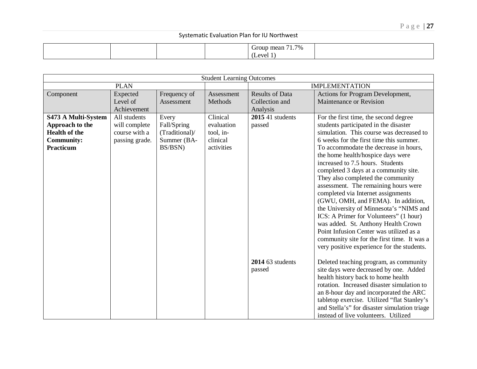|  | 71.7%<br>roup mean<br>(Level) |  |
|--|-------------------------------|--|
|--|-------------------------------|--|

|                                                                                                  |                                                                  |                                                                  | <b>Student Learning Outcomes</b>                              |                                                      |                                                                                                                                                                                                                                                                                                                                                                                                                                                                                                                                                                                                                                                                                                                                                               |
|--------------------------------------------------------------------------------------------------|------------------------------------------------------------------|------------------------------------------------------------------|---------------------------------------------------------------|------------------------------------------------------|---------------------------------------------------------------------------------------------------------------------------------------------------------------------------------------------------------------------------------------------------------------------------------------------------------------------------------------------------------------------------------------------------------------------------------------------------------------------------------------------------------------------------------------------------------------------------------------------------------------------------------------------------------------------------------------------------------------------------------------------------------------|
|                                                                                                  | <b>PLAN</b>                                                      |                                                                  |                                                               |                                                      | <b>IMPLEMENTATION</b>                                                                                                                                                                                                                                                                                                                                                                                                                                                                                                                                                                                                                                                                                                                                         |
| Component                                                                                        | Expected<br>Level of<br>Achievement                              | Frequency of<br>Assessment                                       | Assessment<br>Methods                                         | <b>Results of Data</b><br>Collection and<br>Analysis | Actions for Program Development,<br>Maintenance or Revision                                                                                                                                                                                                                                                                                                                                                                                                                                                                                                                                                                                                                                                                                                   |
| S473 A Multi-System<br>Approach to the<br><b>Health of the</b><br><b>Community:</b><br>Practicum | All students<br>will complete<br>course with a<br>passing grade. | Every<br>Fall/Spring<br>(Traditional)/<br>Summer (BA-<br>BS/BSN) | Clinical<br>evaluation<br>tool, in-<br>clinical<br>activities | 2015 41 students<br>passed                           | For the first time, the second degree<br>students participated in the disaster<br>simulation. This course was decreased to<br>6 weeks for the first time this summer.<br>To accommodate the decrease in hours,<br>the home health/hospice days were<br>increased to 7.5 hours. Students<br>completed 3 days at a community site.<br>They also completed the community<br>assessment. The remaining hours were<br>completed via Internet assignments<br>(GWU, OMH, and FEMA). In addition,<br>the University of Minnesota's "NIMS and<br>ICS: A Primer for Volunteers" (1 hour)<br>was added. St. Anthony Health Crown<br>Point Infusion Center was utilized as a<br>community site for the first time. It was a<br>very positive experience for the students. |
|                                                                                                  |                                                                  |                                                                  |                                                               | $2014$ 63 students<br>passed                         | Deleted teaching program, as community<br>site days were decreased by one. Added<br>health history back to home health<br>rotation. Increased disaster simulation to<br>an 8-hour day and incorporated the ARC<br>tabletop exercise. Utilized "flat Stanley's<br>and Stella's" for disaster simulation triage<br>instead of live volunteers. Utilized                                                                                                                                                                                                                                                                                                                                                                                                         |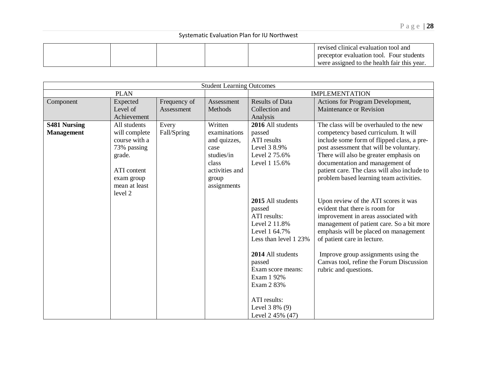|  |  | revised clinical evaluation tool and        |
|--|--|---------------------------------------------|
|  |  | Four students<br>preceptor evaluation tool. |
|  |  | were assigned to the health fair this year. |

|                                          |                                                                                                                                  |                            | <b>Student Learning Outcomes</b>                                                                                 |                                                                                                                                                                                                                                                |                                                                                                                                                                                                                                                                                                                                                  |  |
|------------------------------------------|----------------------------------------------------------------------------------------------------------------------------------|----------------------------|------------------------------------------------------------------------------------------------------------------|------------------------------------------------------------------------------------------------------------------------------------------------------------------------------------------------------------------------------------------------|--------------------------------------------------------------------------------------------------------------------------------------------------------------------------------------------------------------------------------------------------------------------------------------------------------------------------------------------------|--|
|                                          | <b>PLAN</b>                                                                                                                      |                            |                                                                                                                  | <b>IMPLEMENTATION</b>                                                                                                                                                                                                                          |                                                                                                                                                                                                                                                                                                                                                  |  |
| Component                                | Expected<br>Level of<br>Achievement                                                                                              | Frequency of<br>Assessment | Assessment<br>Methods                                                                                            | <b>Results of Data</b><br>Collection and<br>Analysis                                                                                                                                                                                           | Actions for Program Development,<br>Maintenance or Revision                                                                                                                                                                                                                                                                                      |  |
| <b>S481 Nursing</b><br><b>Management</b> | All students<br>will complete<br>course with a<br>73% passing<br>grade.<br>ATI content<br>exam group<br>mean at least<br>level 2 | Every<br>Fall/Spring       | Written<br>examinations<br>and quizzes,<br>case<br>studies/in<br>class<br>activities and<br>group<br>assignments | 2016 All students<br>passed<br>ATI results<br>Level 3 8.9%<br>Level 2 75.6%<br>Level 1 15.6%                                                                                                                                                   | The class will be overhauled to the new<br>competency based curriculum. It will<br>include some form of flipped class, a pre-<br>post assessment that will be voluntary.<br>There will also be greater emphasis on<br>documentation and management of<br>patient care. The class will also include to<br>problem based learning team activities. |  |
|                                          |                                                                                                                                  |                            |                                                                                                                  | 2015 All students<br>passed<br>ATI results:<br>Level 2 11.8%<br>Level 1 64.7%<br>Less than level 1 23%<br>2014 All students<br>passed<br>Exam score means:<br>Exam 1 92%<br>Exam 2 83%<br>ATI results:<br>Level $38\%$ (9)<br>Level 2 45% (47) | Upon review of the ATI scores it was<br>evident that there is room for<br>improvement in areas associated with<br>management of patient care. So a bit more<br>emphasis will be placed on management<br>of patient care in lecture.<br>Improve group assignments using the<br>Canvas tool, refine the Forum Discussion<br>rubric and questions.  |  |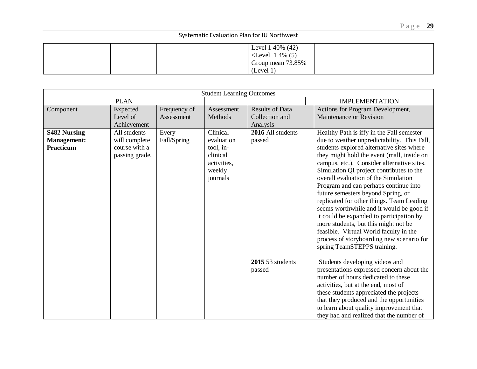|  | Level $1\,40\%$ (42)<br>$\le$ Level 14% (5) |  |
|--|---------------------------------------------|--|
|  | Group mean 73.85%<br>(Level 1)              |  |

| <b>Student Learning Outcomes</b>                       |                                                                  |                            |                                                                                      |                                                      |                                                                                                                                                                                                                                                                                                                                                                                                                                                                                                                                                                                                                                                                                                         |  |  |
|--------------------------------------------------------|------------------------------------------------------------------|----------------------------|--------------------------------------------------------------------------------------|------------------------------------------------------|---------------------------------------------------------------------------------------------------------------------------------------------------------------------------------------------------------------------------------------------------------------------------------------------------------------------------------------------------------------------------------------------------------------------------------------------------------------------------------------------------------------------------------------------------------------------------------------------------------------------------------------------------------------------------------------------------------|--|--|
|                                                        | <b>PLAN</b>                                                      |                            |                                                                                      |                                                      | <b>IMPLEMENTATION</b>                                                                                                                                                                                                                                                                                                                                                                                                                                                                                                                                                                                                                                                                                   |  |  |
| Component                                              | Expected<br>Level of<br>Achievement                              | Frequency of<br>Assessment | Assessment<br>Methods                                                                | <b>Results of Data</b><br>Collection and<br>Analysis | Actions for Program Development,<br>Maintenance or Revision                                                                                                                                                                                                                                                                                                                                                                                                                                                                                                                                                                                                                                             |  |  |
| <b>S482 Nursing</b><br><b>Management:</b><br>Practicum | All students<br>will complete<br>course with a<br>passing grade. | Every<br>Fall/Spring       | Clinical<br>evaluation<br>tool, in-<br>clinical<br>activities,<br>weekly<br>journals | 2016 All students<br>passed                          | Healthy Path is iffy in the Fall semester<br>due to weather unpredictability. This Fall,<br>students explored alternative sites where<br>they might hold the event (mall, inside on<br>campus, etc.). Consider alternative sites.<br>Simulation QI project contributes to the<br>overall evaluation of the Simulation<br>Program and can perhaps continue into<br>future semesters beyond Spring, or<br>replicated for other things. Team Leading<br>seems worthwhile and it would be good if<br>it could be expanded to participation by<br>more students, but this might not be<br>feasible. Virtual World faculty in the<br>process of storyboarding new scenario for<br>spring TeamSTEPPS training. |  |  |
|                                                        |                                                                  |                            |                                                                                      | 2015 53 students<br>passed                           | Students developing videos and<br>presentations expressed concern about the<br>number of hours dedicated to these<br>activities, but at the end, most of<br>these students appreciated the projects<br>that they produced and the opportunities<br>to learn about quality improvement that<br>they had and realized that the number of                                                                                                                                                                                                                                                                                                                                                                  |  |  |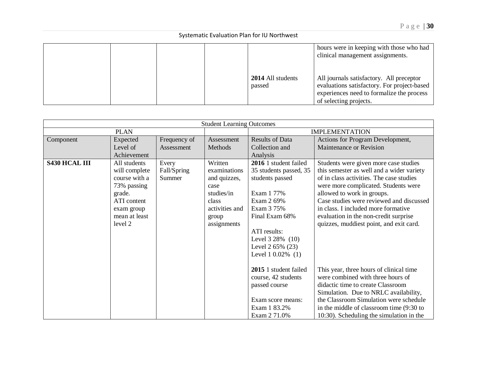|  |  |                             | hours were in keeping with those who had<br>clinical management assignments.                                                                                   |
|--|--|-----------------------------|----------------------------------------------------------------------------------------------------------------------------------------------------------------|
|  |  | 2014 All students<br>passed | All journals satisfactory. All preceptor<br>evaluations satisfactory. For project-based<br>experiences need to formalize the process<br>of selecting projects. |

|                      |               |              | <b>Student Learning Outcomes</b> |                        |                                           |  |
|----------------------|---------------|--------------|----------------------------------|------------------------|-------------------------------------------|--|
|                      | <b>PLAN</b>   |              |                                  | <b>IMPLEMENTATION</b>  |                                           |  |
| Component            | Expected      | Frequency of | Assessment                       | <b>Results of Data</b> | Actions for Program Development,          |  |
|                      | Level of      | Assessment   | Methods                          | Collection and         | Maintenance or Revision                   |  |
|                      | Achievement   |              |                                  | Analysis               |                                           |  |
| <b>S430 HCAL III</b> | All students  | Every        | Written                          | 2016 1 student failed  | Students were given more case studies     |  |
|                      | will complete | Fall/Spring  | examinations                     | 35 students passed, 35 | this semester as well and a wider variety |  |
|                      | course with a | Summer       | and quizzes,                     | students passed        | of in class activities. The case studies  |  |
|                      | 73% passing   |              | case                             |                        | were more complicated. Students were      |  |
|                      | grade.        |              | studies/in                       | Exam 1 77%             | allowed to work in groups.                |  |
|                      | ATI content   |              | class                            | Exam 2 69%             | Case studies were reviewed and discussed  |  |
|                      | exam group    |              | activities and                   | Exam 3 75%             | in class. I included more formative       |  |
|                      | mean at least |              | group                            | Final Exam 68%         | evaluation in the non-credit surprise     |  |
|                      | level 2       |              | assignments                      |                        | quizzes, muddiest point, and exit card.   |  |
|                      |               |              |                                  | ATI results:           |                                           |  |
|                      |               |              |                                  | Level 3 28% (10)       |                                           |  |
|                      |               |              |                                  | Level 2 65% (23)       |                                           |  |
|                      |               |              |                                  | Level 1 0.02% (1)      |                                           |  |
|                      |               |              |                                  |                        |                                           |  |
|                      |               |              |                                  | 2015 1 student failed  | This year, three hours of clinical time   |  |
|                      |               |              |                                  | course, 42 students    | were combined with three hours of         |  |
|                      |               |              |                                  | passed course          | didactic time to create Classroom         |  |
|                      |               |              |                                  |                        | Simulation. Due to NRLC availability,     |  |
|                      |               |              |                                  | Exam score means:      | the Classroom Simulation were schedule    |  |
|                      |               |              |                                  | Exam 1 83.2%           | in the middle of classroom time (9:30 to  |  |
|                      |               |              |                                  | Exam 2 71.0%           | 10:30). Scheduling the simulation in the  |  |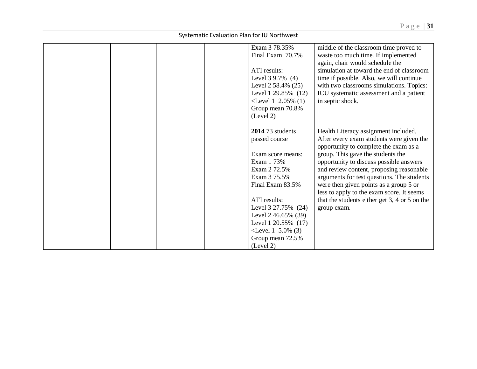|  |  | Exam 3 78.35%<br>Final Exam 70.7%<br>ATI results:<br>Level $39.7\%$ (4)<br>Level $2,58.4\%$ (25)<br>Level 1 29.85% (12)<br>$\le$ Level 1 2.05% (1)<br>Group mean 70.8%<br>(Level 2) | middle of the classroom time proved to<br>waste too much time. If implemented<br>again, chair would schedule the<br>simulation at toward the end of classroom<br>time if possible. Also, we will continue<br>with two classrooms simulations. Topics:<br>ICU systematic assessment and a patient<br>in septic shock.                                                                       |
|--|--|-------------------------------------------------------------------------------------------------------------------------------------------------------------------------------------|--------------------------------------------------------------------------------------------------------------------------------------------------------------------------------------------------------------------------------------------------------------------------------------------------------------------------------------------------------------------------------------------|
|  |  | 2014 73 students<br>passed course<br>Exam score means:<br>Exam 1 73%<br>Exam 2 72.5%<br>Exam 3 75.5%<br>Final Exam 83.5%                                                            | Health Literacy assignment included.<br>After every exam students were given the<br>opportunity to complete the exam as a<br>group. This gave the students the<br>opportunity to discuss possible answers<br>and review content, proposing reasonable<br>arguments for test questions. The students<br>were then given points as a group 5 or<br>less to apply to the exam score. It seems |
|  |  | ATI results:<br>Level 3 27.75% (24)<br>Level $2\,46.65\%$ (39)<br>Level 1 20.55% (17)<br>$\le$ Level 1 5.0% (3)<br>Group mean 72.5%<br>(Level 2)                                    | that the students either get $3, 4$ or $5$ on the<br>group exam.                                                                                                                                                                                                                                                                                                                           |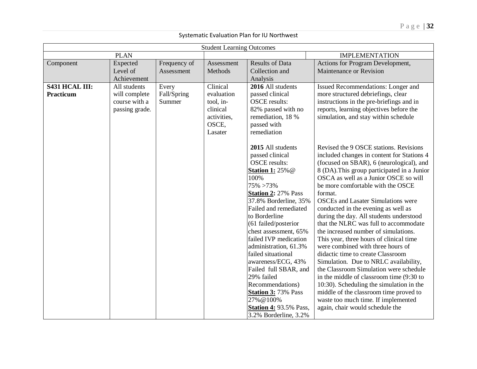|                |                |              | <b>Student Learning Outcomes</b> |                                         |                                                                               |
|----------------|----------------|--------------|----------------------------------|-----------------------------------------|-------------------------------------------------------------------------------|
|                | <b>PLAN</b>    |              |                                  |                                         | <b>IMPLEMENTATION</b>                                                         |
| Component      | Expected       | Frequency of | Assessment                       | <b>Results of Data</b>                  | Actions for Program Development,                                              |
|                | Level of       | Assessment   | Methods                          | Collection and                          | Maintenance or Revision                                                       |
|                | Achievement    |              |                                  | Analysis                                |                                                                               |
| S431 HCAL III: | All students   | Every        | Clinical                         | 2016 All students                       | Issued Recommendations: Longer and                                            |
| Practicum      | will complete  | Fall/Spring  | evaluation                       | passed clinical                         | more structured debriefings, clear                                            |
|                | course with a  | Summer       | tool, in-                        | <b>OSCE</b> results:                    | instructions in the pre-briefings and in                                      |
|                | passing grade. |              | clinical                         | 82% passed with no                      | reports, learning objectives before the                                       |
|                |                |              | activities,                      | remediation, 18 %                       | simulation, and stay within schedule                                          |
|                |                |              | OSCE,                            | passed with                             |                                                                               |
|                |                |              | Lasater                          | remediation                             |                                                                               |
|                |                |              |                                  | 2015 All students                       | Revised the 9 OSCE stations. Revisions                                        |
|                |                |              |                                  | passed clinical                         | included changes in content for Stations 4                                    |
|                |                |              |                                  | <b>OSCE</b> results:                    | (focused on SBAR), 6 (neurological), and                                      |
|                |                |              |                                  | <b>Station 1: 25% @</b>                 | 8 (DA). This group participated in a Junior                                   |
|                |                |              |                                  | 100%                                    | OSCA as well as a Junior OSCE so will                                         |
|                |                |              |                                  | 75% > 73%                               | be more comfortable with the OSCE                                             |
|                |                |              |                                  | <b>Station 2: 27% Pass</b>              | format.                                                                       |
|                |                |              |                                  | 37.8% Borderline, 35%                   | <b>OSCEs</b> and Lasater Simulations were                                     |
|                |                |              |                                  | Failed and remediated                   | conducted in the evening as well as                                           |
|                |                |              |                                  | to Borderline                           | during the day. All students understood                                       |
|                |                |              |                                  | (61 failed/posterior                    | that the NLRC was full to accommodate                                         |
|                |                |              |                                  | chest assessment, 65%                   | the increased number of simulations.                                          |
|                |                |              |                                  | failed IVP medication                   | This year, three hours of clinical time                                       |
|                |                |              |                                  | administration, 61.3%                   | were combined with three hours of                                             |
|                |                |              |                                  | failed situational                      | didactic time to create Classroom                                             |
|                |                |              |                                  | awareness/ECG, 43%                      | Simulation. Due to NRLC availability,                                         |
|                |                |              |                                  | Failed full SBAR, and                   | the Classroom Simulation were schedule                                        |
|                |                |              |                                  | 29% failed                              | in the middle of classroom time (9:30 to                                      |
|                |                |              |                                  | Recommendations)                        | 10:30). Scheduling the simulation in the                                      |
|                |                |              |                                  | <b>Station 3: 73% Pass</b><br>27% @100% | middle of the classroom time proved to<br>waste too much time. If implemented |
|                |                |              |                                  | <b>Station 4: 93.5% Pass,</b>           | again, chair would schedule the                                               |
|                |                |              |                                  |                                         |                                                                               |
|                |                |              |                                  | 3.2% Borderline, 3.2%                   |                                                                               |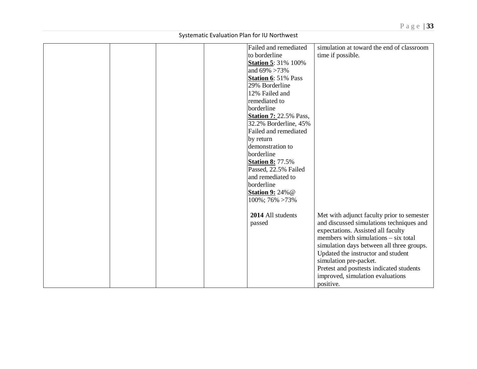|  |  | Failed and remediated         | simulation at toward the end of classroom  |
|--|--|-------------------------------|--------------------------------------------|
|  |  | to borderline                 | time if possible.                          |
|  |  | <b>Station 5: 31% 100%</b>    |                                            |
|  |  | and $69\% > 73\%$             |                                            |
|  |  | <b>Station 6: 51% Pass</b>    |                                            |
|  |  | 29% Borderline                |                                            |
|  |  | 12% Failed and                |                                            |
|  |  | remediated to                 |                                            |
|  |  | borderline                    |                                            |
|  |  | <b>Station 7: 22.5% Pass,</b> |                                            |
|  |  | 32.2% Borderline, 45%         |                                            |
|  |  | Failed and remediated         |                                            |
|  |  | by return                     |                                            |
|  |  | demonstration to              |                                            |
|  |  | borderline                    |                                            |
|  |  | <b>Station 8: 77.5%</b>       |                                            |
|  |  | Passed, 22.5% Failed          |                                            |
|  |  | and remediated to             |                                            |
|  |  | borderline                    |                                            |
|  |  | <b>Station 9: 24% @</b>       |                                            |
|  |  | 100%; 76% > 73%               |                                            |
|  |  |                               |                                            |
|  |  | 2014 All students             | Met with adjunct faculty prior to semester |
|  |  | passed                        | and discussed simulations techniques and   |
|  |  |                               | expectations. Assisted all faculty         |
|  |  |                               | members with simulations – six total       |
|  |  |                               | simulation days between all three groups.  |
|  |  |                               | Updated the instructor and student         |
|  |  |                               | simulation pre-packet.                     |
|  |  |                               | Pretest and posttests indicated students   |
|  |  |                               | improved, simulation evaluations           |
|  |  |                               | positive.                                  |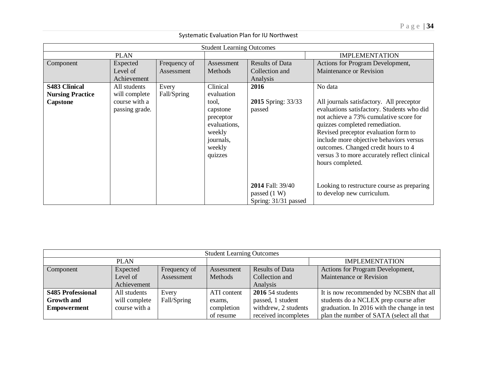| <b>Student Learning Outcomes</b> |                                 |              |                                                                                            |                                                            |                                                                                                                                                                                                                                                                                                                                                                  |  |  |  |  |
|----------------------------------|---------------------------------|--------------|--------------------------------------------------------------------------------------------|------------------------------------------------------------|------------------------------------------------------------------------------------------------------------------------------------------------------------------------------------------------------------------------------------------------------------------------------------------------------------------------------------------------------------------|--|--|--|--|
|                                  | <b>PLAN</b>                     |              |                                                                                            |                                                            | <b>IMPLEMENTATION</b>                                                                                                                                                                                                                                                                                                                                            |  |  |  |  |
| Component                        | Expected                        | Frequency of | Assessment                                                                                 | <b>Results of Data</b>                                     | Actions for Program Development,                                                                                                                                                                                                                                                                                                                                 |  |  |  |  |
|                                  | Level of                        | Assessment   | Methods                                                                                    | Collection and                                             | Maintenance or Revision                                                                                                                                                                                                                                                                                                                                          |  |  |  |  |
|                                  | Achievement                     |              |                                                                                            | Analysis                                                   |                                                                                                                                                                                                                                                                                                                                                                  |  |  |  |  |
| <b>S483 Clinical</b>             | All students                    | Every        | Clinical                                                                                   | 2016                                                       | No data                                                                                                                                                                                                                                                                                                                                                          |  |  |  |  |
| <b>Nursing Practice</b>          | will complete                   | Fall/Spring  | evaluation                                                                                 |                                                            |                                                                                                                                                                                                                                                                                                                                                                  |  |  |  |  |
| Capstone                         | course with a<br>passing grade. |              | tool,<br>capstone<br>preceptor<br>evaluations,<br>weekly<br>journals,<br>weekly<br>quizzes | 2015 Spring: 33/33<br>passed                               | All journals satisfactory. All preceptor<br>evaluations satisfactory. Students who did<br>not achieve a 73% cumulative score for<br>quizzes completed remediation.<br>Revised preceptor evaluation form to<br>include more objective behaviors versus<br>outcomes. Changed credit hours to 4<br>versus 3 to more accurately reflect clinical<br>hours completed. |  |  |  |  |
|                                  |                                 |              |                                                                                            | 2014 Fall: 39/40<br>passed $(1 W)$<br>Spring: 31/31 passed | Looking to restructure course as preparing<br>to develop new curriculum.                                                                                                                                                                                                                                                                                         |  |  |  |  |

| <b>Student Learning Outcomes</b> |               |              |             |                        |                                             |  |  |  |
|----------------------------------|---------------|--------------|-------------|------------------------|---------------------------------------------|--|--|--|
| <b>PLAN</b>                      |               |              |             |                        | <b>IMPLEMENTATION</b>                       |  |  |  |
| Component                        | Expected      | Frequency of | Assessment  | <b>Results of Data</b> | Actions for Program Development,            |  |  |  |
|                                  | Level of      | Assessment   | Methods     | Collection and         | Maintenance or Revision                     |  |  |  |
|                                  | Achievement   |              |             | Analysis               |                                             |  |  |  |
| <b>S485 Professional</b>         | All students  | Every        | ATI content | $2016$ 54 students     | It is now recommended by NCSBN that all     |  |  |  |
| <b>Growth and</b>                | will complete | Fall/Spring  | exams.      | passed, 1 student      | students do a NCLEX prep course after       |  |  |  |
| <b>Empowerment</b>               | course with a |              | completion  | withdrew, 2 students   | graduation. In 2016 with the change in test |  |  |  |
|                                  |               |              | of resume   | received incompletes   | plan the number of SATA (select all that    |  |  |  |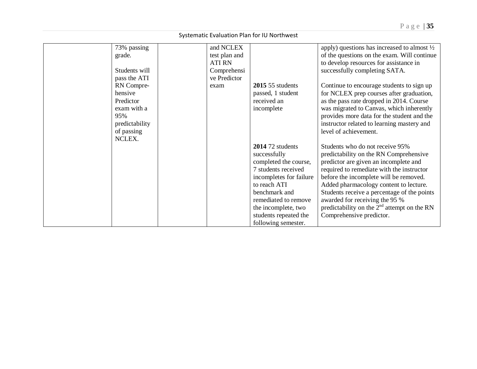| Systematic Evaluation Plan for IU Northwest |                       |                            |                         |                                                                                                       |  |  |  |  |  |
|---------------------------------------------|-----------------------|----------------------------|-------------------------|-------------------------------------------------------------------------------------------------------|--|--|--|--|--|
|                                             | 73% passing<br>grade. | and NCLEX<br>test plan and |                         | apply) questions has increased to almost $\frac{1}{2}$<br>of the questions on the exam. Will continue |  |  |  |  |  |
|                                             |                       | <b>ATI RN</b>              |                         | to develop resources for assistance in                                                                |  |  |  |  |  |
|                                             | Students will         | Comprehensi                |                         | successfully completing SATA.                                                                         |  |  |  |  |  |
|                                             | pass the ATI          | ve Predictor               |                         |                                                                                                       |  |  |  |  |  |
|                                             | RN Compre-            | exam                       | $2015$ 55 students      | Continue to encourage students to sign up                                                             |  |  |  |  |  |
|                                             | hensive               |                            | passed, 1 student       | for NCLEX prep courses after graduation,                                                              |  |  |  |  |  |
|                                             | Predictor             |                            | received an             | as the pass rate dropped in 2014. Course                                                              |  |  |  |  |  |
|                                             | exam with a           |                            | incomplete              | was migrated to Canvas, which inherently                                                              |  |  |  |  |  |
|                                             | 95%                   |                            |                         | provides more data for the student and the                                                            |  |  |  |  |  |
|                                             | predictability        |                            |                         | instructor related to learning mastery and<br>level of achievement.                                   |  |  |  |  |  |
|                                             | of passing<br>NCLEX.  |                            |                         |                                                                                                       |  |  |  |  |  |
|                                             |                       |                            | $2014$ 72 students      | Students who do not receive 95%                                                                       |  |  |  |  |  |
|                                             |                       |                            | successfully            | predictability on the RN Comprehensive                                                                |  |  |  |  |  |
|                                             |                       |                            | completed the course,   | predictor are given an incomplete and                                                                 |  |  |  |  |  |
|                                             |                       |                            | 7 students received     | required to remediate with the instructor                                                             |  |  |  |  |  |
|                                             |                       |                            | incompletes for failure | before the incomplete will be removed.                                                                |  |  |  |  |  |
|                                             |                       |                            | to reach ATI            | Added pharmacology content to lecture.                                                                |  |  |  |  |  |
|                                             |                       |                            | benchmark and           | Students receive a percentage of the points                                                           |  |  |  |  |  |
|                                             |                       |                            | remediated to remove    | awarded for receiving the 95 %                                                                        |  |  |  |  |  |
|                                             |                       |                            | the incomplete, two     | predictability on the $2nd$ attempt on the RN                                                         |  |  |  |  |  |
|                                             |                       |                            | students repeated the   | Comprehensive predictor.                                                                              |  |  |  |  |  |
|                                             |                       |                            | following semester.     |                                                                                                       |  |  |  |  |  |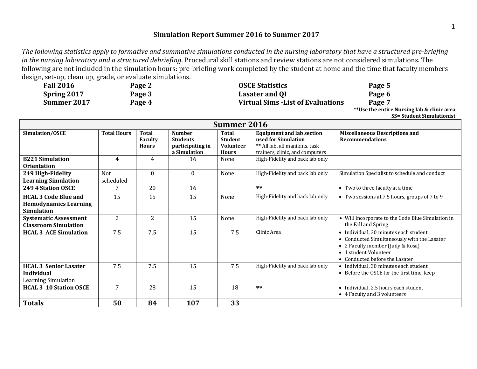# **Simulation Report Summer 2016 to Summer 2017**

*The following statistics apply to formative and summative simulations conducted in the nursing laboratory that have a structured pre-briefing in the nursing laboratory and a structured debriefing*. Procedural skill stations and review stations are not considered simulations. The following are not included in the simulation hours: pre-briefing work completed by the student at home and the time that faculty members design, set-up, clean up, grade, or evaluate simulations.

| <b>Fall 2016</b> | Page 2 | <b>OSCE Statistics</b>                    | Page 5 |
|------------------|--------|-------------------------------------------|--------|
| Spring 2017      | Page 3 | Lasater and QI                            | Page 6 |
| Summer 2017      | Page 4 | <b>Virtual Sims - List of Evaluations</b> | Page 7 |

**\*\*Use the entire Nursing lab & clinic area SS= Student Simulationist**

| <b>Summer 2016</b>                                                               |                         |                                                |                                                                      |                                                                    |                                                                                                                              |                                                                                                                                                                                     |  |
|----------------------------------------------------------------------------------|-------------------------|------------------------------------------------|----------------------------------------------------------------------|--------------------------------------------------------------------|------------------------------------------------------------------------------------------------------------------------------|-------------------------------------------------------------------------------------------------------------------------------------------------------------------------------------|--|
| Simulation/OSCE                                                                  | <b>Total Hours</b>      | <b>Total</b><br><b>Faculty</b><br><b>Hours</b> | <b>Number</b><br><b>Students</b><br>participating in<br>a Simulation | <b>Total</b><br><b>Student</b><br><b>Volunteer</b><br><b>Hours</b> | <b>Equipment and lab section</b><br>used for Simulation<br>** All lab, all manikins, task<br>trainers, clinic, and computers | <b>Miscellaneous Descriptions and</b><br><b>Recommendations</b>                                                                                                                     |  |
| <b>B221 Simulation</b><br><b>Orientation</b>                                     | 4                       | 4                                              | 16                                                                   | None                                                               | High-Fidelity and back lab only                                                                                              |                                                                                                                                                                                     |  |
| 249 High-Fidelity<br><b>Learning Simulation</b>                                  | <b>Not</b><br>scheduled | $\bf{0}$                                       | $\Omega$                                                             | None                                                               | High-Fidelity and back lab only                                                                                              | Simulation Specialist to schedule and conduct                                                                                                                                       |  |
| 249 4 Station OSCE                                                               |                         | 20                                             | 16                                                                   |                                                                    | $***$                                                                                                                        | • Two to three faculty at a time                                                                                                                                                    |  |
| <b>HCAL 3 Code Blue and</b><br><b>Hemodynamics Learning</b><br><b>Simulation</b> | 15                      | 15                                             | 15                                                                   | None                                                               | High-Fidelity and back lab only                                                                                              | • Two sessions at 7.5 hours, groups of 7 to 9                                                                                                                                       |  |
| <b>Systematic Assessment</b><br><b>Classroom Simulation</b>                      | 2                       | 2                                              | 15                                                                   | None                                                               | High-Fidelity and back lab only                                                                                              | • Will incorporate to the Code Blue Simulation in<br>the Fall and Spring                                                                                                            |  |
| <b>HCAL 3 ACE Simulation</b>                                                     | 7.5                     | 7.5                                            | 15                                                                   | 7.5                                                                | Clinic Area                                                                                                                  | • Individual, 30 minutes each student<br>• Conducted Simultaneously with the Lasater<br>• 2 Faculty member (Judy & Rosa)<br>• 1 student Volunteer<br>• Conducted before the Lasater |  |
| <b>HCAL 3 Senior Lasater</b><br><b>Individual</b><br><b>Learning Simulation</b>  | 7.5                     | 7.5                                            | 15                                                                   | 7.5                                                                | High-Fidelity and back lab only                                                                                              | • Individual, 30 minutes each student<br>• Before the OSCE for the first time, keep                                                                                                 |  |
| <b>HCAL 3 10 Station OSCE</b>                                                    | 7                       | 28                                             | 15                                                                   | 18                                                                 | $**$                                                                                                                         | • Individual, 2.5 hours each student<br>• 4 Faculty and 3 volunteers                                                                                                                |  |
| <b>Totals</b>                                                                    | 50                      | 84                                             | 107                                                                  | 33                                                                 |                                                                                                                              |                                                                                                                                                                                     |  |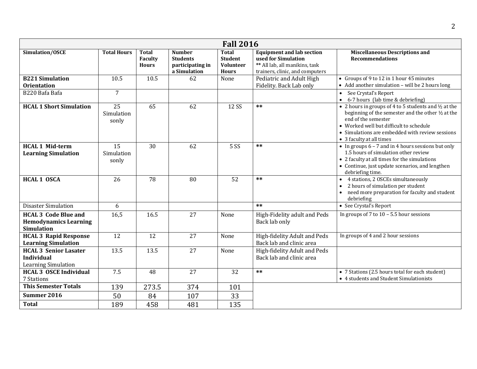| <b>Fall 2016</b>                                                                 |                                        |                                                |                                                                      |                                                                    |                                                                                                                              |                                                                                                                                                                                                                                                              |  |
|----------------------------------------------------------------------------------|----------------------------------------|------------------------------------------------|----------------------------------------------------------------------|--------------------------------------------------------------------|------------------------------------------------------------------------------------------------------------------------------|--------------------------------------------------------------------------------------------------------------------------------------------------------------------------------------------------------------------------------------------------------------|--|
| Simulation/OSCE                                                                  | <b>Total Hours</b>                     | <b>Total</b><br><b>Faculty</b><br><b>Hours</b> | <b>Number</b><br><b>Students</b><br>participating in<br>a Simulation | <b>Total</b><br><b>Student</b><br><b>Volunteer</b><br><b>Hours</b> | <b>Equipment and lab section</b><br>used for Simulation<br>** All lab, all manikins, task<br>trainers, clinic, and computers | <b>Miscellaneous Descriptions and</b><br><b>Recommendations</b>                                                                                                                                                                                              |  |
| <b>B221 Simulation</b><br><b>Orientation</b>                                     | 10.5                                   | 10.5                                           | 62                                                                   | None                                                               | Pediatric and Adult High<br>Fidelity. Back Lab only                                                                          | • Groups of 9 to 12 in 1 hour 45 minutes<br>• Add another simulation - will be 2 hours long                                                                                                                                                                  |  |
| B220 Bafa Bafa                                                                   | $\overline{7}$                         |                                                |                                                                      |                                                                    |                                                                                                                              | • See Crystal's Report<br>$\bullet$ 6-7 hours (lab time & debriefing)                                                                                                                                                                                        |  |
| <b>HCAL 1 Short Simulation</b>                                                   | $\overline{25}$<br>Simulation<br>sonly | 65                                             | 62                                                                   | 12 SS                                                              | $**$                                                                                                                         | • 2 hours in groups of 4 to 5 students and 1/2 at the<br>beginning of the semester and the other 1/2 at the<br>end of the semester<br>• Worked well but difficult to schedule<br>• Simulations are embedded with review sessions<br>• 3 faculty at all times |  |
| <b>HCAL 1 Mid-term</b><br><b>Learning Simulation</b>                             | 15<br>Simulation<br>sonly              | 30                                             | 62                                                                   | <b>5 SS</b>                                                        | $**$                                                                                                                         | • In groups 6 - 7 and in 4 hours sessions but only<br>1.5 hours of simulation other review<br>• 2 faculty at all times for the simulations<br>• Continue, just update scenarios, and lengthen<br>debriefing time.                                            |  |
| <b>HCAL 1 OSCA</b>                                                               | 26                                     | 78                                             | 80                                                                   | 52                                                                 | $**$                                                                                                                         | 4 stations, 2 OSCEs simultaneously<br>$\bullet$<br>2 hours of simulation per student<br>need more preparation for faculty and student<br>debriefing                                                                                                          |  |
| <b>Disaster Simulation</b>                                                       | 6                                      |                                                |                                                                      |                                                                    | $**$                                                                                                                         | • See Crystal's Report                                                                                                                                                                                                                                       |  |
| <b>HCAL 3 Code Blue and</b><br><b>Hemodynamics Learning</b><br><b>Simulation</b> | 16,5                                   | 16.5                                           | 27                                                                   | None                                                               | High-Fidelity adult and Peds<br>Back lab only                                                                                | In groups of 7 to $10 - 5.5$ hour sessions                                                                                                                                                                                                                   |  |
| <b>HCAL 3 Rapid Response</b><br><b>Learning Simulation</b>                       | 12                                     | 12                                             | 27                                                                   | None                                                               | High-fidelity Adult and Peds<br>Back lab and clinic area                                                                     | In groups of 4 and 2 hour sessions                                                                                                                                                                                                                           |  |
| <b>HCAL 3 Senior Lasater</b><br><b>Individual</b><br><b>Learning Simulation</b>  | 13.5                                   | 13.5                                           | 27                                                                   | None                                                               | High-fidelity Adult and Peds<br>Back lab and clinic area                                                                     |                                                                                                                                                                                                                                                              |  |
| <b>HCAL 3 OSCE Individual</b><br>7 Stations                                      | 7.5                                    | 48                                             | 27                                                                   | 32                                                                 | $***$                                                                                                                        | • 7 Stations (2.5 hours total for each student)<br>• 4 students and Student Simulationists                                                                                                                                                                   |  |
| <b>This Semester Totals</b>                                                      | 139                                    | 273.5                                          | 374                                                                  | 101                                                                |                                                                                                                              |                                                                                                                                                                                                                                                              |  |
| Summer 2016                                                                      | 50                                     | 84                                             | 107                                                                  | 33                                                                 |                                                                                                                              |                                                                                                                                                                                                                                                              |  |
| <b>Total</b>                                                                     | 189                                    | 458                                            | 481                                                                  | 135                                                                |                                                                                                                              |                                                                                                                                                                                                                                                              |  |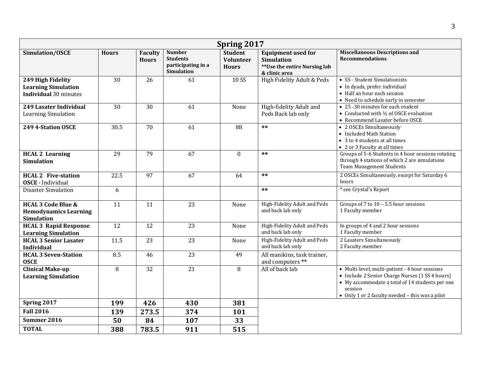| Spring 2017                                                                        |              |                         |                                                                             |                                                    |                                                                                                 |                                                                                                                                                                                                                    |  |
|------------------------------------------------------------------------------------|--------------|-------------------------|-----------------------------------------------------------------------------|----------------------------------------------------|-------------------------------------------------------------------------------------------------|--------------------------------------------------------------------------------------------------------------------------------------------------------------------------------------------------------------------|--|
| Simulation/OSCE                                                                    | <b>Hours</b> | Faculty<br><b>Hours</b> | <b>Number</b><br><b>Students</b><br>participating in a<br><b>Simulation</b> | <b>Student</b><br><b>Volunteer</b><br><b>Hours</b> | <b>Equipment used for</b><br><b>Simulation</b><br>**Use the entire Nursing lab<br>& clinic area | <b>Miscellaneous Descriptions and</b><br><b>Recommendations</b>                                                                                                                                                    |  |
| 249 High Fidelity<br><b>Learning Simulation</b><br><b>Individual</b> 30 minutes    | 30           | 26                      | 61                                                                          | 10 SS                                              | High Fidelity Adult & Peds                                                                      | • SS - Student Simulationists<br>• In dyads, prefer individual<br>• Half an hour each session<br>• Need to schedule early in semester                                                                              |  |
| 249 Lasater Individual<br>Learning Simulation                                      | 30           | 30                      | 61                                                                          | None                                               | High-fidelity Adult and<br>Peds Back lab only                                                   | • 25 -30 minutes for each student<br>• Conducted with $\frac{1}{2}$ of OSCE evaluation<br>• Recommend Lasater before OSCE                                                                                          |  |
| 249 4-Station OSCE                                                                 | 30.5         | 70                      | 61                                                                          | 88                                                 | $***$                                                                                           | • 2 OSCEs Simultaneously<br>• Included Math Station<br>• 3 to 4 students at all times<br>• 2 or 3 Faculty at all times                                                                                             |  |
| <b>HCAL 2 Learning</b><br><b>Simulation</b>                                        | 29           | 79                      | $\overline{67}$                                                             | $\mathbf{0}$                                       | $**$                                                                                            | Groups of 5-6 Students in 4 hour sessions rotating<br>through 4 stations of which 2 are simulations<br><b>Team Management Students</b>                                                                             |  |
| <b>HCAL 2 Five-station</b><br><b>OSCE</b> - Individual                             | 22.5         | 97                      | 67                                                                          | 64                                                 | $**$                                                                                            | 2 OSCEs Simultaneously, except for Saturday 6<br>hours                                                                                                                                                             |  |
| <b>Disaster Simulation</b>                                                         | 6            |                         |                                                                             |                                                    | $**$                                                                                            | * see Crystal's Report                                                                                                                                                                                             |  |
| <b>HCAL 3 Code Blue &amp;</b><br><b>Hemodynamics Learning</b><br><b>Simulation</b> | 11           | 11                      | 23                                                                          | None                                               | High-Fidelity Adult and Peds<br>and back lab only                                               | Groups of 7 to $10 - 5.5$ hour sessions<br>1 Faculty member                                                                                                                                                        |  |
| <b>HCAL 3 Rapid Response</b><br><b>Learning Simulation</b>                         | 12           | 12                      | 23                                                                          | None                                               | High-Fidelity Adult and Peds<br>and back lab only                                               | In groups of 4 and 2 hour sessions<br>1 Faculty member                                                                                                                                                             |  |
| <b>HCAL 3 Senior Lasater</b><br><b>Individual</b>                                  | 11.5         | $\overline{23}$         | $\overline{23}$                                                             | None                                               | High-Fidelity Adult and Peds<br>and back lab only                                               | 2 Lasaters Simultaneously<br>2 Faculty member                                                                                                                                                                      |  |
| <b>HCAL 3 Seven-Station</b><br><b>OSCE</b>                                         | 8.5          | 46                      | 23                                                                          | 49                                                 | All manikins, task trainer,<br>and computers **                                                 |                                                                                                                                                                                                                    |  |
| <b>Clinical Make-up</b><br><b>Learning Simulation</b>                              | 8            | 32                      | 21                                                                          | 8                                                  | All of back lab                                                                                 | • Multi-level, multi-patient - 4 hour sessions<br>• Include 2 Senior Charge Nurses (1 SS 4 hours)<br>• My accommodate a total of 14 students per one<br>session<br>• Only 1 or 2 faculty needed - this was a pilot |  |
| Spring 2017                                                                        | 199          | 426                     | 430                                                                         | 381                                                |                                                                                                 |                                                                                                                                                                                                                    |  |
| <b>Fall 2016</b>                                                                   | 139          | 273.5                   | 374                                                                         | 101                                                |                                                                                                 |                                                                                                                                                                                                                    |  |
| Summer 2016                                                                        | 50           | 84                      | 107                                                                         | 33                                                 |                                                                                                 |                                                                                                                                                                                                                    |  |
| <b>TOTAL</b>                                                                       | 388          | 783.5                   | 911                                                                         | 515                                                |                                                                                                 |                                                                                                                                                                                                                    |  |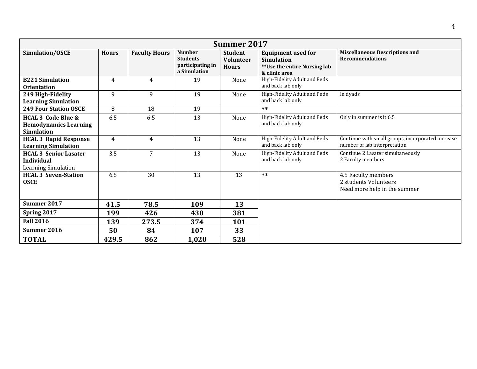| <b>Summer 2017</b>                                                                 |              |                      |                                                                      |                                                    |                                                                                                 |                                                                                   |  |  |
|------------------------------------------------------------------------------------|--------------|----------------------|----------------------------------------------------------------------|----------------------------------------------------|-------------------------------------------------------------------------------------------------|-----------------------------------------------------------------------------------|--|--|
| Simulation/OSCE                                                                    | <b>Hours</b> | <b>Faculty Hours</b> | <b>Number</b><br><b>Students</b><br>participating in<br>a Simulation | <b>Student</b><br><b>Volunteer</b><br><b>Hours</b> | <b>Equipment used for</b><br><b>Simulation</b><br>**Use the entire Nursing lab<br>& clinic area | <b>Miscellaneous Descriptions and</b><br><b>Recommendations</b>                   |  |  |
| <b>B221 Simulation</b><br><b>Orientation</b>                                       | 4            | $\overline{4}$       | 19                                                                   | None                                               | High-Fidelity Adult and Peds<br>and back lab only                                               |                                                                                   |  |  |
| 249 High-Fidelity<br><b>Learning Simulation</b>                                    | 9            | 9                    | 19                                                                   | None                                               | High-Fidelity Adult and Peds<br>and back lab only                                               | In dyads                                                                          |  |  |
| <b>249 Four Station OSCE</b>                                                       | 8            | 18                   | 19                                                                   |                                                    | **                                                                                              |                                                                                   |  |  |
| <b>HCAL 3 Code Blue &amp;</b><br><b>Hemodynamics Learning</b><br><b>Simulation</b> | 6.5          | 6.5                  | 13                                                                   | None                                               | High-Fidelity Adult and Peds<br>and back lab only                                               | Only in summer is it 6.5                                                          |  |  |
| <b>HCAL 3 Rapid Response</b><br><b>Learning Simulation</b>                         | 4            | $\overline{4}$       | 13                                                                   | None                                               | High-Fidelity Adult and Peds<br>and back lab only                                               | Continue with small groups, incorporated increase<br>number of lab interpretation |  |  |
| <b>HCAL 3 Senior Lasater</b><br><b>Individual</b><br><b>Learning Simulation</b>    | 3.5          | $\overline{7}$       | 13                                                                   | None                                               | High-Fidelity Adult and Peds<br>and back lab only                                               | Continue 2 Lasater simultaneously<br>2 Faculty members                            |  |  |
| <b>HCAL 3 Seven-Station</b><br><b>OSCE</b>                                         | 6.5          | 30                   | 13                                                                   | 13                                                 | $***$                                                                                           | 4.5 Faculty members<br>2 students Volunteers<br>Need more help in the summer      |  |  |
| <b>Summer 2017</b>                                                                 | 41.5         | 78.5                 | 109                                                                  | 13                                                 |                                                                                                 |                                                                                   |  |  |
| Spring 2017                                                                        | 199          | 426                  | 430                                                                  | 381                                                |                                                                                                 |                                                                                   |  |  |
| <b>Fall 2016</b>                                                                   | 139          | 273.5                | 374                                                                  | 101                                                |                                                                                                 |                                                                                   |  |  |
| Summer 2016                                                                        | 50           | 84                   | 107                                                                  | 33                                                 |                                                                                                 |                                                                                   |  |  |
| <b>TOTAL</b>                                                                       | 429.5        | 862                  | 1,020                                                                | 528                                                |                                                                                                 |                                                                                   |  |  |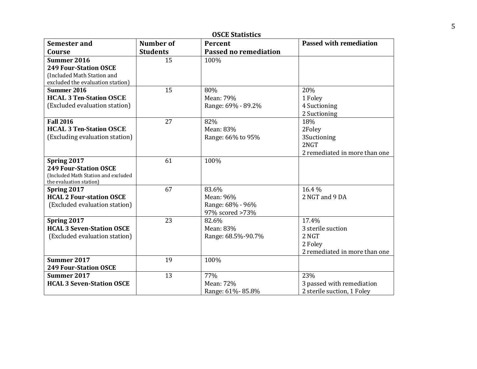| <b>OSCE Statistics</b>                                         |                 |                              |                                |  |  |  |  |
|----------------------------------------------------------------|-----------------|------------------------------|--------------------------------|--|--|--|--|
| <b>Semester and</b>                                            | Number of       | Percent                      | <b>Passed with remediation</b> |  |  |  |  |
| Course                                                         | <b>Students</b> | <b>Passed no remediation</b> |                                |  |  |  |  |
| <b>Summer 2016</b>                                             | 15              | 100%                         |                                |  |  |  |  |
| <b>249 Four-Station OSCE</b>                                   |                 |                              |                                |  |  |  |  |
| (Included Math Station and                                     |                 |                              |                                |  |  |  |  |
| excluded the evaluation station)                               |                 |                              |                                |  |  |  |  |
| Summer 2016                                                    | 15              | 80%                          | 20%                            |  |  |  |  |
| <b>HCAL 3 Ten-Station OSCE</b>                                 |                 | Mean: 79%                    | 1 Foley                        |  |  |  |  |
| (Excluded evaluation station)                                  |                 | Range: 69% - 89.2%           | 4 Suctioning                   |  |  |  |  |
|                                                                |                 |                              | 2 Suctioning                   |  |  |  |  |
| <b>Fall 2016</b>                                               | 27              | 82%                          | 18%                            |  |  |  |  |
| <b>HCAL 3 Ten-Station OSCE</b>                                 |                 | Mean: 83%                    | 2Foley                         |  |  |  |  |
| (Excluding evaluation station)                                 |                 | Range: 66% to 95%            | 3Suctioning                    |  |  |  |  |
|                                                                |                 |                              | 2NGT                           |  |  |  |  |
|                                                                |                 |                              | 2 remediated in more than one  |  |  |  |  |
| Spring 2017                                                    | 61              | 100%                         |                                |  |  |  |  |
| <b>249 Four-Station OSCE</b>                                   |                 |                              |                                |  |  |  |  |
| (Included Math Station and excluded<br>the evaluation station) |                 |                              |                                |  |  |  |  |
| Spring 2017                                                    | 67              | 83.6%                        | 16.4 %                         |  |  |  |  |
| <b>HCAL 2 Four-station OSCE</b>                                |                 | Mean: 96%                    | 2 NGT and 9 DA                 |  |  |  |  |
| (Excluded evaluation station)                                  |                 | Range: 68% - 96%             |                                |  |  |  |  |
|                                                                |                 | 97% scored >73%              |                                |  |  |  |  |
| Spring 2017                                                    | 23              | 82.6%                        | 17.4%                          |  |  |  |  |
| <b>HCAL 3 Seven-Station OSCE</b>                               |                 | Mean: 83%                    | 3 sterile suction              |  |  |  |  |
| (Excluded evaluation station)                                  |                 | Range: 68.5%-90.7%           | 2 NGT                          |  |  |  |  |
|                                                                |                 |                              | 2 Foley                        |  |  |  |  |
|                                                                |                 |                              | 2 remediated in more than one  |  |  |  |  |
| Summer 2017                                                    | 19              | 100%                         |                                |  |  |  |  |
| <b>249 Four-Station OSCE</b>                                   |                 |                              |                                |  |  |  |  |
| Summer 2017                                                    | 13              | 77%                          | 23%                            |  |  |  |  |
| <b>HCAL 3 Seven-Station OSCE</b>                               |                 | Mean: 72%                    | 3 passed with remediation      |  |  |  |  |
|                                                                |                 | Range: 61%-85.8%             | 2 sterile suction, 1 Foley     |  |  |  |  |

5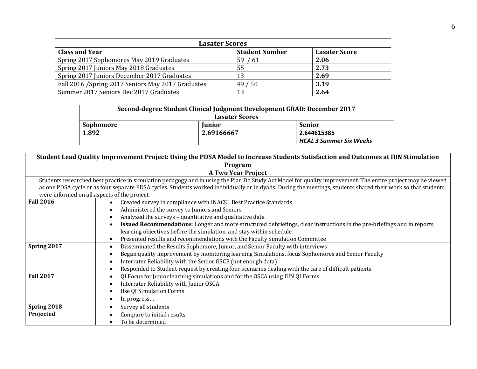| <b>Lasater Scores</b>                              |                       |                      |  |  |  |  |  |  |
|----------------------------------------------------|-----------------------|----------------------|--|--|--|--|--|--|
| <b>Class and Year</b>                              | <b>Student Number</b> | <b>Lasater Score</b> |  |  |  |  |  |  |
| Spring 2017 Sophomores May 2019 Graduates          | 59/61                 | 2.06                 |  |  |  |  |  |  |
| Spring 2017 Juniors May 2018 Graduates             | 55                    | 2.73                 |  |  |  |  |  |  |
| Spring 2017 Juniors December 2017 Graduates        | 13                    | 2.69                 |  |  |  |  |  |  |
| Fall 2016 / Spring 2017 Seniors May 2017 Graduates | 49/50                 | 3.19                 |  |  |  |  |  |  |
| Summer 2017 Seniors Dec 2017 Graduates             | 13                    | 2.64                 |  |  |  |  |  |  |

| Second-degree Student Clinical Judgment Development GRAD: December 2017 |               |               |  |  |
|-------------------------------------------------------------------------|---------------|---------------|--|--|
| <b>Lasater Scores</b>                                                   |               |               |  |  |
| Sophomore                                                               | <b>Junior</b> | <b>Senior</b> |  |  |
| 1.892                                                                   | 2.69166667    | 2.644615385   |  |  |
| <b>HCAL 3 Summer Six Weeks</b>                                          |               |               |  |  |

|                  | Student Lead Quality Improvement Project: Using the PDSA Model to Increase Students Satisfaction and Outcomes at IUN Stimulation                              |  |  |  |  |  |  |
|------------------|---------------------------------------------------------------------------------------------------------------------------------------------------------------|--|--|--|--|--|--|
|                  | Program                                                                                                                                                       |  |  |  |  |  |  |
|                  | <b>A Two Year Project</b>                                                                                                                                     |  |  |  |  |  |  |
|                  | Students researched best practice in simulation pedagogy and in using the Plan Do Study Act Model for quality improvement. The entire project may be viewed   |  |  |  |  |  |  |
|                  | as one PDSA cycle or as four separate PDSA cycles. Students worked individually or in dyads. During the meetings, students shared their work so that students |  |  |  |  |  |  |
|                  | were informed on all aspects of the project.                                                                                                                  |  |  |  |  |  |  |
| <b>Fall 2016</b> | Created survey in compliance with INACSL Best Practice Standards<br>$\bullet$                                                                                 |  |  |  |  |  |  |
|                  | Administered the survey to Juniors and Seniors<br>$\bullet$                                                                                                   |  |  |  |  |  |  |
|                  | Analyzed the surveys - quantitative and qualitative data                                                                                                      |  |  |  |  |  |  |
|                  | Issued Recommendations: Longer and more structured debriefings, clear instructions in the pre-briefings and in reports,                                       |  |  |  |  |  |  |
|                  | learning objectives before the simulation, and stay within schedule                                                                                           |  |  |  |  |  |  |
|                  | Presented results and recommendations with the Faculty Simulation Committee                                                                                   |  |  |  |  |  |  |
| Spring 2017      | Disseminated the Results Sophomore, Junior, and Senior Faculty with interviews<br>$\bullet$                                                                   |  |  |  |  |  |  |
|                  | Began quality improvement by monitoring learning Simulations, focus Sophomores and Senior Faculty                                                             |  |  |  |  |  |  |
|                  | Interrater Reliability with the Senior OSCE (not enough data)                                                                                                 |  |  |  |  |  |  |
|                  | Responded to Student request by creating four scenarios dealing with the care of difficult patients                                                           |  |  |  |  |  |  |
| <b>Fall 2017</b> | QI Focus for Junior learning simulations and for the OSCA using IUN QI Forms                                                                                  |  |  |  |  |  |  |
|                  | Interrater Reliability with Junior OSCA                                                                                                                       |  |  |  |  |  |  |
|                  | <b>Use QI Simulation Forms</b>                                                                                                                                |  |  |  |  |  |  |
|                  | In progress                                                                                                                                                   |  |  |  |  |  |  |
| Spring 2018      | Survey all students                                                                                                                                           |  |  |  |  |  |  |
| Projected        | Compare to initial results                                                                                                                                    |  |  |  |  |  |  |
|                  | To be determined                                                                                                                                              |  |  |  |  |  |  |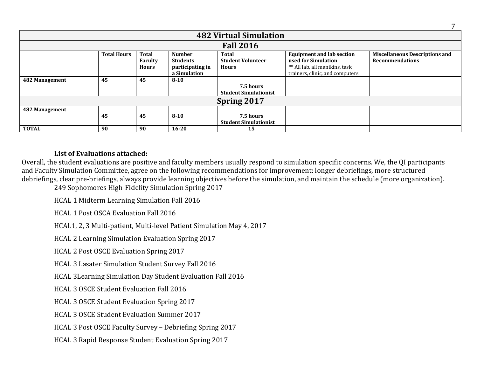| <b>482 Virtual Simulation</b> |                    |                                                |                                                                      |                                                   |                                                                                                                              |                                                                 |
|-------------------------------|--------------------|------------------------------------------------|----------------------------------------------------------------------|---------------------------------------------------|------------------------------------------------------------------------------------------------------------------------------|-----------------------------------------------------------------|
|                               |                    |                                                |                                                                      | <b>Fall 2016</b>                                  |                                                                                                                              |                                                                 |
|                               | <b>Total Hours</b> | <b>Total</b><br><b>Faculty</b><br><b>Hours</b> | <b>Number</b><br><b>Students</b><br>participating in<br>a Simulation | Total<br><b>Student Volunteer</b><br><b>Hours</b> | <b>Equipment and lab section</b><br>used for Simulation<br>** All lab, all manikins, task<br>trainers, clinic, and computers | <b>Miscellaneous Descriptions and</b><br><b>Recommendations</b> |
| 482 Management                | 45                 | 45                                             | $8 - 10$                                                             | 7.5 hours<br><b>Student Simulationist</b>         |                                                                                                                              |                                                                 |
| Spring 2017                   |                    |                                                |                                                                      |                                                   |                                                                                                                              |                                                                 |
| 482 Management                | 45                 | 45                                             | $8 - 10$                                                             | 7.5 hours<br><b>Student Simulationist</b>         |                                                                                                                              |                                                                 |
| <b>TOTAL</b>                  | 90                 | 90                                             | $16 - 20$                                                            | 15                                                |                                                                                                                              |                                                                 |

# **List of Evaluations attached:**

Overall, the student evaluations are positive and faculty members usually respond to simulation specific concerns. We, the QI participants and Faculty Simulation Committee, agree on the following recommendations for improvement: longer debriefings, more structured debriefings, clear pre-briefings, always provide learning objectives before the simulation, and maintain the schedule (more organization).

249 Sophomores High-Fidelity Simulation Spring 2017

HCAL 1 Midterm Learning Simulation Fall 2016

HCAL 1 Post OSCA Evaluation Fall 2016

HCAL1, 2, 3 Multi-patient, Multi-level Patient Simulation May 4, 2017

HCAL 2 Learning Simulation Evaluation Spring 2017

HCAL 2 Post OSCE Evaluation Spring 2017

HCAL 3 Lasater Simulation Student Survey Fall 2016

HCAL 3Learning Simulation Day Student Evaluation Fall 2016

HCAL 3 OSCE Student Evaluation Fall 2016

HCAL 3 OSCE Student Evaluation Spring 2017

HCAL 3 OSCE Student Evaluation Summer 2017

HCAL 3 Post OSCE Faculty Survey – Debriefing Spring 2017

HCAL 3 Rapid Response Student Evaluation Spring 2017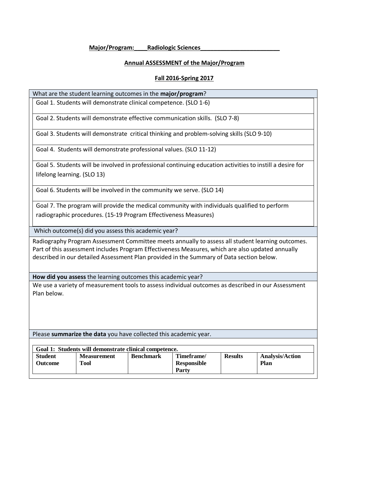#### **Major/Program:\_\_\_\_Radiologic Sciences\_\_\_\_\_\_\_\_\_\_\_\_\_\_\_\_\_\_\_\_\_\_\_\_**

#### **Annual ASSESSMENT of the Major/Program**

#### **Fall 2016-Spring 2017**

#### What are the student learning outcomes in the **major/program**?

Goal 1. Students will demonstrate clinical competence. (SLO 1-6)

Goal 2. Students will demonstrate effective communication skills. (SLO 7-8)

Goal 3. Students will demonstrate critical thinking and problem-solving skills (SLO 9-10)

Goal 4. Students will demonstrate professional values. (SLO 11-12)

Goal 5. Students will be involved in professional continuing education activities to instill a desire for lifelong learning. (SLO 13)

Goal 6. Students will be involved in the community we serve. (SLO 14)

Goal 7. The program will provide the medical community with individuals qualified to perform radiographic procedures. (15-19 Program Effectiveness Measures)

Which outcome(s) did you assess this academic year?

Radiography Program Assessment Committee meets annually to assess all student learning outcomes. Part of this assessment includes Program Effectiveness Measures, which are also updated annually described in our detailed Assessment Plan provided in the Summary of Data section below.

**How did you assess** the learning outcomes this academic year?

We use a variety of measurement tools to assess individual outcomes as described in our Assessment Plan below.

Please **summarize the data** you have collected this academic year.

| Goal 1: Students will demonstrate clinical competence. |                            |                  |                                    |                |                                |  |
|--------------------------------------------------------|----------------------------|------------------|------------------------------------|----------------|--------------------------------|--|
| <b>Student</b><br>Outcome                              | <b>Measurement</b><br>Tool | <b>Benchmark</b> | Timeframe/<br>Responsible<br>Party | <b>Results</b> | <b>Analysis/Action</b><br>Plan |  |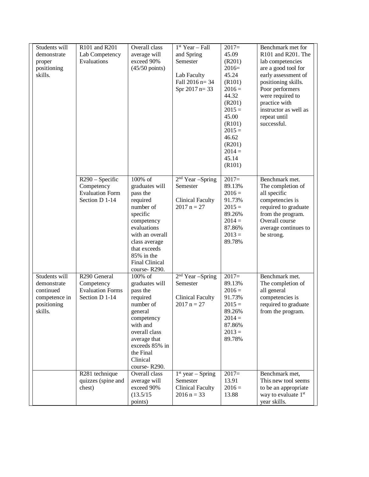| Students will<br>demonstrate<br>proper<br>positioning<br>skills.                     | R101 and R201<br>Lab Competency<br>Evaluations                                        | Overall class<br>average will<br>exceed 90%<br>$(45/50 \text{ points})$                                                                                                                                            | $1st Year - Fall$<br>and Spring<br>Semester<br>Lab Faculty<br>Fall 2016 n= 34<br>Spr $2017$ n= 33 | $2017=$<br>45.09<br>(R201)<br>$2016=$<br>45.24<br>(R101)<br>$2016 =$<br>44.32<br>(R201)<br>$2015 =$<br>45.00<br>(R101)<br>$2015 =$<br>46.62<br>(R201)<br>$2014 =$<br>45.14<br>(R101) | Benchmark met for<br>R101 and R201. The<br>lab competencies<br>are a good tool for<br>early assessment of<br>positioning skills.<br>Poor performers<br>were required to<br>practice with<br>instructor as well as<br>repeat until<br>successful. |
|--------------------------------------------------------------------------------------|---------------------------------------------------------------------------------------|--------------------------------------------------------------------------------------------------------------------------------------------------------------------------------------------------------------------|---------------------------------------------------------------------------------------------------|--------------------------------------------------------------------------------------------------------------------------------------------------------------------------------------|--------------------------------------------------------------------------------------------------------------------------------------------------------------------------------------------------------------------------------------------------|
|                                                                                      | R <sub>290</sub> – Specific<br>Competency<br><b>Evaluation Form</b><br>Section D 1-14 | 100% of<br>graduates will<br>pass the<br>required<br>number of<br>specific<br>competency<br>evaluations<br>with an overall<br>class average<br>that exceeds<br>85% in the<br><b>Final Clinical</b><br>course-R290. | $2nd$ Year -Spring<br>Semester<br><b>Clinical Faculty</b><br>$2017 n = 27$                        | $2017=$<br>89.13%<br>$2016 =$<br>91.73%<br>$2015 =$<br>89.26%<br>$2014 =$<br>87.86%<br>$2013 =$<br>89.78%                                                                            | Benchmark met.<br>The completion of<br>all specific<br>competencies is<br>required to graduate<br>from the program.<br>Overall course<br>average continues to<br>be strong.                                                                      |
| Students will<br>demonstrate<br>continued<br>competence in<br>positioning<br>skills. | R <sub>290</sub> General<br>Competency<br><b>Evaluation Forms</b><br>Section D 1-14   | $100\%$ of<br>graduates will<br>pass the<br>required<br>number of<br>general<br>competency<br>with and<br>overall class<br>average that<br>exceeds 85% in<br>the Final<br>Clinical<br>course-R290.                 | $2nd$ Year -Spring<br>Semester<br><b>Clinical Faculty</b><br>$2017 n = 27$                        | $2017=$<br>89.13%<br>$2016 =$<br>91.73%<br>$2015 =$<br>89.26%<br>$2014 =$<br>87.86%<br>$2013 =$<br>89.78%                                                                            | Benchmark met.<br>The completion of<br>all general<br>competencies is<br>required to graduate<br>from the program.                                                                                                                               |
|                                                                                      | R281 technique<br>quizzes (spine and<br>chest)                                        | Overall class<br>average will<br>exceed 90%<br>(13.5/15)<br>points)                                                                                                                                                | $1st$ year – Spring<br>Semester<br><b>Clinical Faculty</b><br>$2016 n = 33$                       | $2017=$<br>13.91<br>$2016 =$<br>13.88                                                                                                                                                | Benchmark met,<br>This new tool seems<br>to be an appropriate<br>way to evaluate 1 <sup>st</sup><br>year skills.                                                                                                                                 |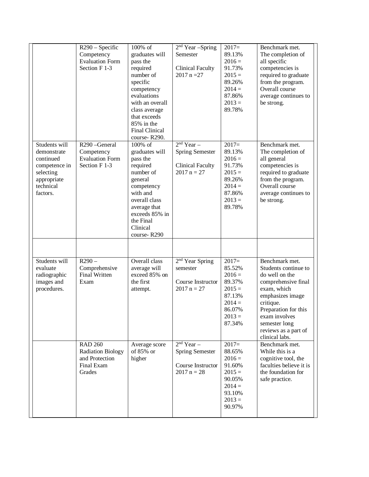|                                                                                                                 | $R290 - Specific$<br>Competency<br><b>Evaluation Form</b><br>Section F 1-3           | 100% of<br>graduates will<br>pass the<br>required<br>number of<br>specific<br>competency<br>evaluations<br>with an overall<br>class average<br>that exceeds<br>85% in the<br><b>Final Clinical</b><br>course-R290. | $2nd$ Year -Spring<br>Semester<br><b>Clinical Faculty</b><br>$2017$ n = 27           | $2017=$<br>89.13%<br>$2016 =$<br>91.73%<br>$2015 =$<br>89.26%<br>$2014 =$<br>87.86%<br>$2013 =$<br>89.78% | Benchmark met.<br>The completion of<br>all specific<br>competencies is<br>required to graduate<br>from the program.<br>Overall course<br>average continues to<br>be strong.                                                         |
|-----------------------------------------------------------------------------------------------------------------|--------------------------------------------------------------------------------------|--------------------------------------------------------------------------------------------------------------------------------------------------------------------------------------------------------------------|--------------------------------------------------------------------------------------|-----------------------------------------------------------------------------------------------------------|-------------------------------------------------------------------------------------------------------------------------------------------------------------------------------------------------------------------------------------|
| Students will<br>demonstrate<br>continued<br>competence in<br>selecting<br>appropriate<br>technical<br>factors. | R290-General<br>Competency<br><b>Evaluation Form</b><br>Section F 1-3                | 100% of<br>graduates will<br>pass the<br>required<br>number of<br>general<br>competency<br>with and<br>overall class<br>average that<br>exceeds 85% in<br>the Final<br>Clinical<br>course-R290                     | $2nd$ Year $-$<br><b>Spring Semester</b><br><b>Clinical Faculty</b><br>$2017 n = 27$ | $2017=$<br>89.13%<br>$2016 =$<br>91.73%<br>$2015 =$<br>89.26%<br>$2014 =$<br>87.86%<br>$2013 =$<br>89.78% | Benchmark met.<br>The completion of<br>all general<br>competencies is<br>required to graduate<br>from the program.<br>Overall course<br>average continues to<br>be strong.                                                          |
| Students will<br>evaluate<br>radiographic<br>images and<br>procedures.                                          | $R290 -$<br>Comprehensive<br><b>Final Written</b><br>Exam                            | Overall class<br>average will<br>exceed 85% on<br>the first<br>attempt.                                                                                                                                            | 2 <sup>nd</sup> Year Spring<br>semester<br>Course Instructor<br>$2017 n = 27$        | $2017=$<br>85.52%<br>$2016 =$<br>89.37%<br>$2015 =$<br>87.13%<br>$2014 =$<br>86.07%<br>$2013 =$<br>87.34% | Benchmark met.<br>Students continue to<br>do well on the<br>comprehensive final<br>exam, which<br>emphasizes image<br>critique.<br>Preparation for this<br>exam involves<br>semester long<br>reviews as a part of<br>clinical labs. |
|                                                                                                                 | <b>RAD 260</b><br><b>Radiation Biology</b><br>and Protection<br>Final Exam<br>Grades | Average score<br>of 85% or<br>higher                                                                                                                                                                               | $2nd$ Year –<br><b>Spring Semester</b><br>Course Instructor<br>$2017 n = 28$         | $2017=$<br>88.65%<br>$2016 =$<br>91.60%<br>$2015 =$<br>90.05%<br>$2014 =$<br>93.10%<br>$2013 =$<br>90.97% | Benchmark met.<br>While this is a<br>cognitive tool, the<br>faculties believe it is<br>the foundation for<br>safe practice.                                                                                                         |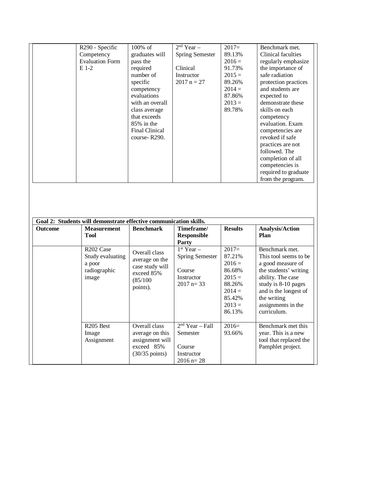| R <sub>290</sub> - Specific | $100\%$ of            | $2nd Year -$           | $2017=$  | Benchmark met.       |
|-----------------------------|-----------------------|------------------------|----------|----------------------|
| Competency                  | graduates will        | <b>Spring Semester</b> | 89.13%   | Clinical faculties   |
| <b>Evaluation Form</b>      | pass the              |                        | $2016 =$ | regularly emphasize  |
| E 1-2                       | required              | Clinical               | 91.73%   | the importance of    |
|                             | number of             | Instructor             | $2015 =$ | safe radiation       |
|                             | specific              | $2017 n = 27$          | 89.26%   | protection practices |
|                             | competency            |                        | $2014 =$ | and students are     |
|                             | evaluations           |                        | 87.86%   | expected to          |
|                             | with an overall       |                        | $2013 =$ | demonstrate these    |
|                             | class average         |                        | 89.78%   | skills on each       |
|                             | that exceeds          |                        |          | competency           |
|                             | $85\%$ in the         |                        |          | evaluation. Exam     |
|                             | <b>Final Clinical</b> |                        |          | competencies are     |
|                             | course-R290.          |                        |          | revoked if safe      |
|                             |                       |                        |          | practices are not    |
|                             |                       |                        |          | followed. The        |
|                             |                       |                        |          | completion of all    |
|                             |                       |                        |          | competencies is      |
|                             |                       |                        |          | required to graduate |
|                             |                       |                        |          | from the program.    |

|                | Goal 2: Students will demonstrate effective communication skills.            |                                                                                               |                                                                                |                                                                                                           |                                                                                                                                                                                                                 |  |  |
|----------------|------------------------------------------------------------------------------|-----------------------------------------------------------------------------------------------|--------------------------------------------------------------------------------|-----------------------------------------------------------------------------------------------------------|-----------------------------------------------------------------------------------------------------------------------------------------------------------------------------------------------------------------|--|--|
| <b>Outcome</b> | <b>Measurement</b><br><b>Tool</b>                                            | <b>Benchmark</b>                                                                              | Timeframe/<br><b>Responsible</b><br>Party                                      | <b>Results</b>                                                                                            | <b>Analysis/Action</b><br>Plan                                                                                                                                                                                  |  |  |
|                | R <sub>202</sub> Case<br>Study evaluating<br>a poor<br>radiographic<br>image | Overall class<br>average on the<br>case study will<br>exceed 85%<br>(85/100)<br>points).      | $1st$ Year –<br><b>Spring Semester</b><br>Course<br>Instructor<br>$2017$ n= 33 | $2017=$<br>87.21%<br>$2016 =$<br>86.68%<br>$2015 =$<br>88.26%<br>$2014 =$<br>85.42%<br>$2013 =$<br>86.13% | Benchmark met.<br>This tool seems to be.<br>a good measure of<br>the students' writing<br>ability. The case<br>study is 8-10 pages<br>and is the longest of<br>the writing<br>assignments in the<br>curriculum. |  |  |
|                | R <sub>205</sub> Best<br>Image<br>Assignment                                 | Overall class<br>average on this<br>assignment will<br>exceed 85%<br>$(30/35 \text{ points})$ | $2nd Year - Fall$<br>Semester<br>Course<br>Instructor<br>$2016$ n= 28          | $2016=$<br>93.66%                                                                                         | Benchmark met this<br>year. This is a new<br>tool that replaced the<br>Pamphlet project.                                                                                                                        |  |  |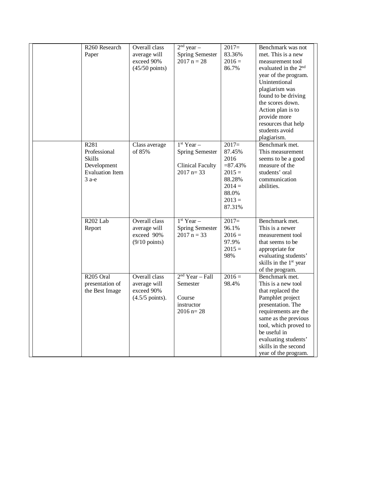| R <sub>260</sub> Research<br>Paper                                                        | Overall class<br>average will<br>exceed 90%<br>$(45/50 \text{ points})$  | $\sqrt{2^{nd} y}$ ear –<br><b>Spring Semester</b><br>$2017 n = 28$                | $2017=$<br>83.36%<br>$2016 =$<br>86.7%                                                                   | Benchmark was not<br>met. This is a new<br>measurement tool<br>evaluated in the 2 <sup>nd</sup><br>year of the program.<br>Unintentional<br>plagiarism was<br>found to be driving<br>the scores down.<br>Action plan is to<br>provide more<br>resources that help<br>students avoid<br>plagiarism. |
|-------------------------------------------------------------------------------------------|--------------------------------------------------------------------------|-----------------------------------------------------------------------------------|----------------------------------------------------------------------------------------------------------|----------------------------------------------------------------------------------------------------------------------------------------------------------------------------------------------------------------------------------------------------------------------------------------------------|
| R281<br>Professional<br><b>Skills</b><br>Development<br><b>Evaluation</b> Item<br>$3$ a-e | Class average<br>of 85%                                                  | $1st$ Year -<br><b>Spring Semester</b><br><b>Clinical Faculty</b><br>$2017$ n= 33 | $2017=$<br>87.45%<br>2016<br>$= 87.43%$<br>$2015 =$<br>88.28%<br>$2014 =$<br>88.0%<br>$2013 =$<br>87.31% | Benchmark met.<br>This measurement<br>seems to be a good<br>measure of the<br>students' oral<br>communication<br>abilities.                                                                                                                                                                        |
| R <sub>202</sub> Lab<br>Report                                                            | Overall class<br>average will<br>exceed 90%<br>$(9/10 \text{ points})$   | $1st$ Year -<br><b>Spring Semester</b><br>$2017 n = 33$                           | $2017=$<br>96.1%<br>$2016 =$<br>97.9%<br>$2015 =$<br>98%                                                 | Benchmark met.<br>This is a newer<br>measurement tool<br>that seems to be<br>appropriate for<br>evaluating students'<br>skills in the 1 <sup>st</sup> year<br>of the program.                                                                                                                      |
| R <sub>205</sub> Oral<br>presentation of<br>the Best Image                                | Overall class<br>average will<br>exceed 90%<br>$(4.5/5 \text{ points}).$ | $2nd Year - Fall$<br>Semester<br>Course<br>instructor<br>$2016$ n= 28             | $2016 =$<br>98.4%                                                                                        | Benchmark met.<br>This is a new tool<br>that replaced the<br>Pamphlet project<br>presentation. The<br>requirements are the<br>same as the previous<br>tool, which proved to<br>be useful in<br>evaluating students'<br>skills in the second<br>year of the program.                                |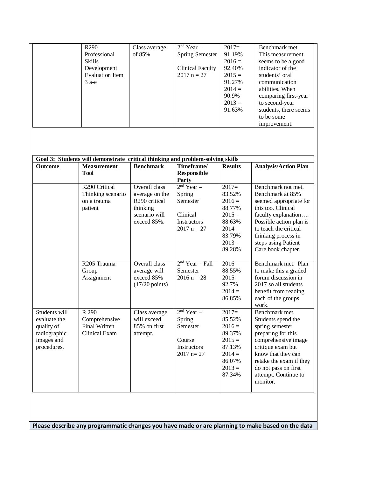| R <sub>290</sub>       | Class average | $2nd$ Year $-$          | $2017=$  | Benchmark met.        |
|------------------------|---------------|-------------------------|----------|-----------------------|
| Professional           | of 85%        | <b>Spring Semester</b>  | 91.19%   | This measurement      |
| Skills                 |               |                         | $2016 =$ | seems to be a good    |
| Development            |               | <b>Clinical Faculty</b> | 92.40%   | indicator of the      |
| <b>Evaluation Item</b> |               | $2017 n = 27$           | $2015 =$ | students' oral        |
| $3$ a-e                |               |                         | 91.27%   | communication         |
|                        |               |                         | $2014 =$ | abilities. When       |
|                        |               |                         | 90.9%    | comparing first-year  |
|                        |               |                         | $2013 =$ | to second-year        |
|                        |               |                         | 91.63%   | students, there seems |
|                        |               |                         |          | to be some            |
|                        |               |                         |          | improvement.          |

|                | Goal 3: Students will demonstrate critical thinking and problem-solving skills |                           |                    |                |                             |
|----------------|--------------------------------------------------------------------------------|---------------------------|--------------------|----------------|-----------------------------|
| <b>Outcome</b> | <b>Measurement</b>                                                             | <b>Benchmark</b>          | Timeframe/         | <b>Results</b> | <b>Analysis/Action Plan</b> |
|                | <b>Tool</b>                                                                    |                           | <b>Responsible</b> |                |                             |
|                |                                                                                |                           | Party              |                |                             |
|                | R <sub>290</sub> Critical                                                      | Overall class             | $2nd$ Year –       | $2017=$        | Benchmark not met.          |
|                | Thinking scenario                                                              | average on the            | Spring             | 83.52%         | Benchmark at 85%            |
|                | on a trauma                                                                    | R <sub>290</sub> critical | Semester           | $2016 =$       | seemed appropriate for      |
|                | patient                                                                        | thinking                  |                    | 88.77%         | this too. Clinical          |
|                |                                                                                | scenario will             | Clinical           | $2015 =$       | faculty explanation         |
|                |                                                                                | exceed 85%.               | <b>Instructors</b> | 88.63%         | Possible action plan is     |
|                |                                                                                |                           | $2017 n = 27$      | $2014 =$       | to teach the critical       |
|                |                                                                                |                           |                    | 83.79%         | thinking process in         |
|                |                                                                                |                           |                    | $2013 =$       | steps using Patient         |
|                |                                                                                |                           |                    | 89.28%         | Care book chapter.          |
|                | R <sub>205</sub> Trauma                                                        | Overall class             | $2nd Year - Fall$  | $2016=$        | Benchmark met. Plan         |
|                | Group                                                                          | average will              | Semester           | 88.55%         | to make this a graded       |
|                | Assignment                                                                     | exceed 85%                | $2016 n = 28$      | $2015 =$       | forum discussion in         |
|                |                                                                                | $(17/20 \text{ points})$  |                    | 92.7%          | 2017 so all students        |
|                |                                                                                |                           |                    | $2014 =$       | benefit from reading        |
|                |                                                                                |                           |                    | 86.85%         | each of the groups          |
|                |                                                                                |                           |                    |                | work.                       |
| Students will  | R 290                                                                          | Class average             | $2nd$ Year –       | $2017=$        | Benchmark met.              |
| evaluate the   | Comprehensive                                                                  | will exceed               | Spring             | 85.52%         | Students spend the          |
| quality of     | <b>Final Written</b>                                                           | 85% on first              | Semester           | $2016 =$       | spring semester             |
| radiographic   | Clinical Exam                                                                  | attempt.                  |                    | 89.37%         | preparing for this          |
| images and     |                                                                                |                           | Course             | $2015 =$       | comprehensive image         |
| procedures.    |                                                                                |                           | <b>Instructors</b> | 87.13%         | critique exam but           |
|                |                                                                                |                           | $2017$ n= 27       | $2014 =$       | know that they can          |
|                |                                                                                |                           |                    | 86.07%         | retake the exam if they     |
|                |                                                                                |                           |                    | $2013 =$       | do not pass on first        |
|                |                                                                                |                           |                    | 87.34%         | attempt. Continue to        |
|                |                                                                                |                           |                    |                | monitor.                    |
|                |                                                                                |                           |                    |                |                             |

**Please describe any programmatic changes you have made or are planning to make based on the data**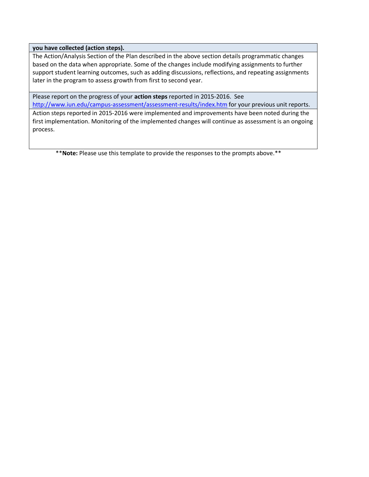#### **you have collected (action steps).**

process.

The Action/Analysis Section of the Plan described in the above section details programmatic changes based on the data when appropriate. Some of the changes include modifying assignments to further support student learning outcomes, such as adding discussions, reflections, and repeating assignments later in the program to assess growth from first to second year.

Please report on the progress of your **action steps** reported in 2015-2016. See <http://www.iun.edu/campus-assessment/assessment-results/index.htm> for your previous unit reports. Action steps reported in 2015-2016 were implemented and improvements have been noted during the first implementation. Monitoring of the implemented changes will continue as assessment is an ongoing

\*\***Note:** Please use this template to provide the responses to the prompts above.\*\*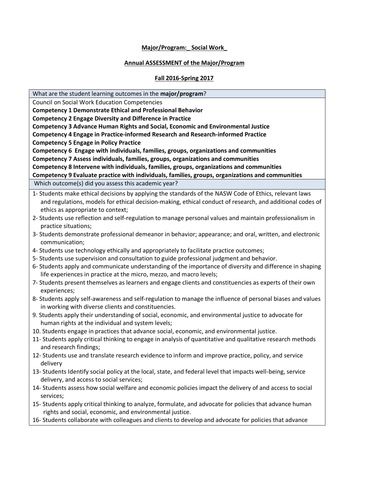## **Major/Program:\_ Social Work\_**

## **Annual ASSESSMENT of the Major/Program**

## **Fall 2016-Spring 2017**

What are the student learning outcomes in the **major/program**?

Council on Social Work Education Competencies **Competency 1 Demonstrate Ethical and Professional Behavior Competency 2 Engage Diversity and Difference in Practice Competency 3 Advance Human Rights and Social, Economic and Environmental Justice Competency 4 Engage in Practice-informed Research and Research-informed Practice Competency 5 Engage in Policy Practice Competency 6 Engage with individuals, families, groups, organizations and communities Competency 7 Assess individuals, families, groups, organizations and communities Competency 8 Intervene with individuals, families, groups, organizations and communities Competency 9 Evaluate practice with individuals, families, groups, organizations and communities** Which outcome(s) did you assess this academic year? 1- Students make ethical decisions by applying the standards of the NASW Code of Ethics, relevant laws and regulations, models for ethical decision-making, ethical conduct of research, and additional codes of ethics as appropriate to context; 2- Students use reflection and self-regulation to manage personal values and maintain professionalism in practice situations; 3- Students demonstrate professional demeanor in behavior; appearance; and oral, written, and electronic communication; 4- Students use technology ethically and appropriately to facilitate practice outcomes; 5- Students use supervision and consultation to guide professional judgment and behavior. 6- Students apply and communicate understanding of the importance of diversity and difference in shaping life experiences in practice at the micro, mezzo, and macro levels; 7- Students present themselves as learners and engage clients and constituencies as experts of their own experiences; 8- Students apply self-awareness and self-regulation to manage the influence of personal biases and values in working with diverse clients and constituencies. 9. Students apply their understanding of social, economic, and environmental justice to advocate for human rights at the individual and system levels; 10. Students engage in practices that advance social, economic, and environmental justice. 11- Students apply critical thinking to engage in analysis of quantitative and qualitative research methods and research findings; 12- Students use and translate research evidence to inform and improve practice, policy, and service delivery 13- Students Identify social policy at the local, state, and federal level that impacts well-being, service delivery, and access to social services;

- 14- Students assess how social welfare and economic policies impact the delivery of and access to social services;
- 15- Students apply critical thinking to analyze, formulate, and advocate for policies that advance human rights and social, economic, and environmental justice.
- 16- Students collaborate with colleagues and clients to develop and advocate for policies that advance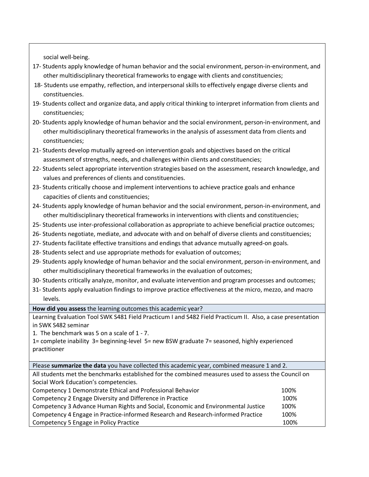social well-being.

- 17- Students apply knowledge of human behavior and the social environment, person-in-environment, and other multidisciplinary theoretical frameworks to engage with clients and constituencies;
- 18- Students use empathy, reflection, and interpersonal skills to effectively engage diverse clients and constituencies.
- 19- Students collect and organize data, and apply critical thinking to interpret information from clients and constituencies;
- 20- Students apply knowledge of human behavior and the social environment, person-in-environment, and other multidisciplinary theoretical frameworks in the analysis of assessment data from clients and constituencies;
- 21- Students develop mutually agreed-on intervention goals and objectives based on the critical assessment of strengths, needs, and challenges within clients and constituencies;
- 22- Students select appropriate intervention strategies based on the assessment, research knowledge, and values and preferences of clients and constituencies.
- 23- Students critically choose and implement interventions to achieve practice goals and enhance capacities of clients and constituencies;
- 24- Students apply knowledge of human behavior and the social environment, person-in-environment, and other multidisciplinary theoretical frameworks in interventions with clients and constituencies;
- 25- Students use inter-professional collaboration as appropriate to achieve beneficial practice outcomes;
- 26- Students negotiate, mediate, and advocate with and on behalf of diverse clients and constituencies;
- 27- Students facilitate effective transitions and endings that advance mutually agreed-on goals.
- 28- Students select and use appropriate methods for evaluation of outcomes;
- 29- Students apply knowledge of human behavior and the social environment, person-in-environment, and other multidisciplinary theoretical frameworks in the evaluation of outcomes;
- 30- Students critically analyze, monitor, and evaluate intervention and program processes and outcomes;
- 31- Students apply evaluation findings to improve practice effectiveness at the micro, mezzo, and macro levels.

**How did you assess** the learning outcomes this academic year?

Learning Evaluation Tool SWK S481 Field Practicum I and S482 Field Practicum II. Also, a case presentation in SWK S482 seminar

1. The benchmark was 5 on a scale of 1 - 7.

1= complete inability 3= beginning-level 5= new BSW graduate 7= seasoned, highly experienced practitioner

| Please summarize the data you have collected this academic year, combined measure 1 and 2.          |      |  |  |  |  |
|-----------------------------------------------------------------------------------------------------|------|--|--|--|--|
| All students met the benchmarks established for the combined measures used to assess the Council on |      |  |  |  |  |
| Social Work Education's competencies.                                                               |      |  |  |  |  |
| Competency 1 Demonstrate Ethical and Professional Behavior                                          | 100% |  |  |  |  |
| Competency 2 Engage Diversity and Difference in Practice                                            | 100% |  |  |  |  |
| Competency 3 Advance Human Rights and Social, Economic and Environmental Justice                    | 100% |  |  |  |  |
| Competency 4 Engage in Practice-informed Research and Research-informed Practice                    | 100% |  |  |  |  |
| Competency 5 Engage in Policy Practice                                                              | 100% |  |  |  |  |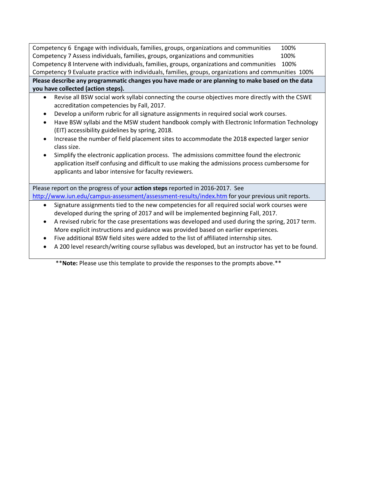Competency 6 Engage with individuals, families, groups, organizations and communities 100% Competency 7 Assess individuals, families, groups, organizations and communities 100% Competency 8 Intervene with individuals, families, groups, organizations and communities 100% Competency 9 Evaluate practice with individuals, families, groups, organizations and communities 100% **Please describe any programmatic changes you have made or are planning to make based on the data you have collected (action steps).** 

- Revise all BSW social work syllabi connecting the course objectives more directly with the CSWE accreditation competencies by Fall, 2017.
- Develop a uniform rubric for all signature assignments in required social work courses.
- Have BSW syllabi and the MSW student handbook comply with Electronic Information Technology (EIT) accessibility guidelines by spring, 2018.
- Increase the number of field placement sites to accommodate the 2018 expected larger senior class size.
- Simplify the electronic application process. The admissions committee found the electronic application itself confusing and difficult to use making the admissions process cumbersome for applicants and labor intensive for faculty reviewers.

Please report on the progress of your **action steps** reported in 2016-2017. See <http://www.iun.edu/campus-assessment/assessment-results/index.htm> for your previous unit reports.

- Signature assignments tied to the new competencies for all required social work courses were developed during the spring of 2017 and will be implemented beginning Fall, 2017.
- A revised rubric for the case presentations was developed and used during the spring, 2017 term. More explicit instructions and guidance was provided based on earlier experiences.
- Five additional BSW field sites were added to the list of affiliated internship sites.
- A 200 level research/writing course syllabus was developed, but an instructor has yet to be found.

\*\***Note:** Please use this template to provide the responses to the prompts above.\*\*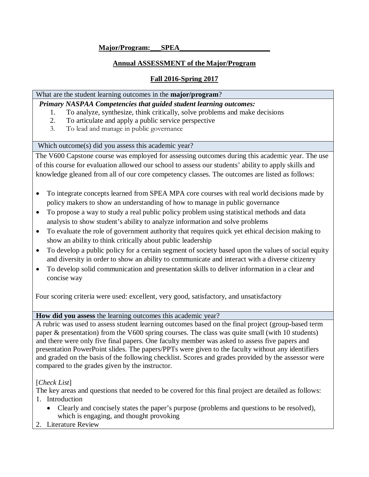# **Major/Program:\_\_\_SPEA\_\_\_\_\_\_\_\_\_\_\_\_\_\_\_\_\_\_\_\_\_\_\_\_\_**

# **Annual ASSESSMENT of the Major/Program**

# **Fall 2016-Spring 2017**

# What are the student learning outcomes in the **major/program**?

*Primary NASPAA Competencies that guided student learning outcomes:* 

- 1. To analyze, synthesize, think critically, solve problems and make decisions
- 2. To articulate and apply a public service perspective
- 3. To lead and manage in public governance

Which outcome(s) did you assess this academic year?

The V600 Capstone course was employed for assessing outcomes during this academic year. The use of this course for evaluation allowed our school to assess our students' ability to apply skills and knowledge gleaned from all of our core competency classes. The outcomes are listed as follows:

- To integrate concepts learned from SPEA MPA core courses with real world decisions made by policy makers to show an understanding of how to manage in public governance
- To propose a way to study a real public policy problem using statistical methods and data analysis to show student's ability to analyze information and solve problems
- To evaluate the role of government authority that requires quick yet ethical decision making to show an ability to think critically about public leadership
- To develop a public policy for a certain segment of society based upon the values of social equity and diversity in order to show an ability to communicate and interact with a diverse citizenry
- To develop solid communication and presentation skills to deliver information in a clear and concise way

Four scoring criteria were used: excellent, very good, satisfactory, and unsatisfactory

**How did you assess** the learning outcomes this academic year?

A rubric was used to assess student learning outcomes based on the final project (group-based term paper & presentation) from the V600 spring courses. The class was quite small (with 10 students) and there were only five final papers. One faculty member was asked to assess five papers and presentation PowerPoint slides. The papers/PPTs were given to the faculty without any identifiers and graded on the basis of the following checklist. Scores and grades provided by the assessor were compared to the grades given by the instructor.

[*Check List*]

The key areas and questions that needed to be covered for this final project are detailed as follows:

- 1. Introduction
	- Clearly and concisely states the paper's purpose (problems and questions to be resolved), which is engaging, and thought provoking
- 2. Literature Review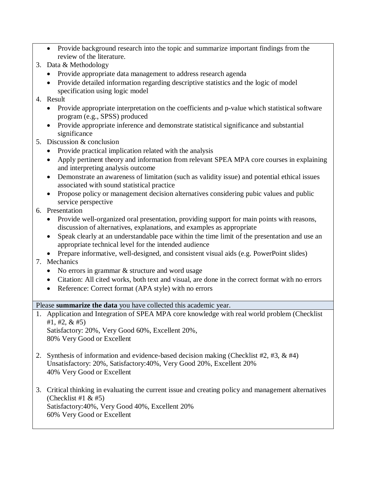- Provide background research into the topic and summarize important findings from the review of the literature.
- 3. Data & Methodology
	- Provide appropriate data management to address research agenda
	- Provide detailed information regarding descriptive statistics and the logic of model specification using logic model
- 4. Result
	- Provide appropriate interpretation on the coefficients and p-value which statistical software program (e.g., SPSS) produced
	- Provide appropriate inference and demonstrate statistical significance and substantial significance
- 5. Discussion & conclusion
	- Provide practical implication related with the analysis
	- Apply pertinent theory and information from relevant SPEA MPA core courses in explaining and interpreting analysis outcome
	- Demonstrate an awareness of limitation (such as validity issue) and potential ethical issues associated with sound statistical practice
	- Propose policy or management decision alternatives considering pubic values and public service perspective
- 6. Presentation
	- Provide well-organized oral presentation, providing support for main points with reasons, discussion of alternatives, explanations, and examples as appropriate
	- Speak clearly at an understandable pace within the time limit of the presentation and use an appropriate technical level for the intended audience
	- Prepare informative, well-designed, and consistent visual aids (e.g. PowerPoint slides)
- 7. Mechanics
	- No errors in grammar & structure and word usage
	- Citation: All cited works, both text and visual, are done in the correct format with no errors
	- Reference: Correct format (APA style) with no errors

Please **summarize the data** you have collected this academic year.

1. Application and Integration of SPEA MPA core knowledge with real world problem (Checklist #1, #2, & #5)

Satisfactory: 20%, Very Good 60%, Excellent 20%, 80% Very Good or Excellent

- 2. Synthesis of information and evidence-based decision making (Checklist #2, #3, & #4) Unsatisfactory: 20%, Satisfactory:40%, Very Good 20%, Excellent 20% 40% Very Good or Excellent
- 3. Critical thinking in evaluating the current issue and creating policy and management alternatives (Checklist #1  $&$  #5) Satisfactory:40%, Very Good 40%, Excellent 20% 60% Very Good or Excellent